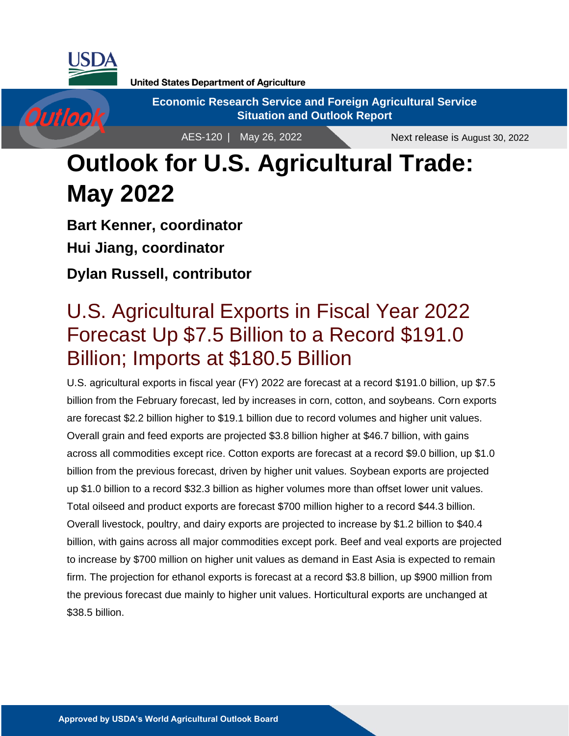

Outlook

**United States Department of Agriculture** 

**Economic Research Service and Foreign Agricultural Service Situation and Outlook Report**

AES-120 | May 26, 2022

Next release is August 30, 2022

# **Outlook for U.S. Agricultural Trade: May 2022**

**Bart Kenner, coordinator Hui Jiang, coordinator Dylan Russell, contributor**

## U.S. Agricultural Exports in Fiscal Year 2022 Forecast Up \$7.5 Billion to a Record \$191.0 Billion; Imports at \$180.5 Billion

U.S. agricultural exports in fiscal year (FY) 2022 are forecast at a record \$191.0 billion, up \$7.5 billion from the February forecast, led by increases in corn, cotton, and soybeans. Corn exports are forecast \$2.2 billion higher to \$19.1 billion due to record volumes and higher unit values. Overall grain and feed exports are projected \$3.8 billion higher at \$46.7 billion, with gains across all commodities except rice. Cotton exports are forecast at a record \$9.0 billion, up \$1.0 billion from the previous forecast, driven by higher unit values. Soybean exports are projected up \$1.0 billion to a record \$32.3 billion as higher volumes more than offset lower unit values. Total oilseed and product exports are forecast \$700 million higher to a record \$44.3 billion. Overall livestock, poultry, and dairy exports are projected to increase by \$1.2 billion to \$40.4 billion, with gains across all major commodities except pork. Beef and veal exports are projected to increase by \$700 million on higher unit values as demand in East Asia is expected to remain firm. The projection for ethanol exports is forecast at a record \$3.8 billion, up \$900 million from the previous forecast due mainly to higher unit values. Horticultural exports are unchanged at \$38.5 billion.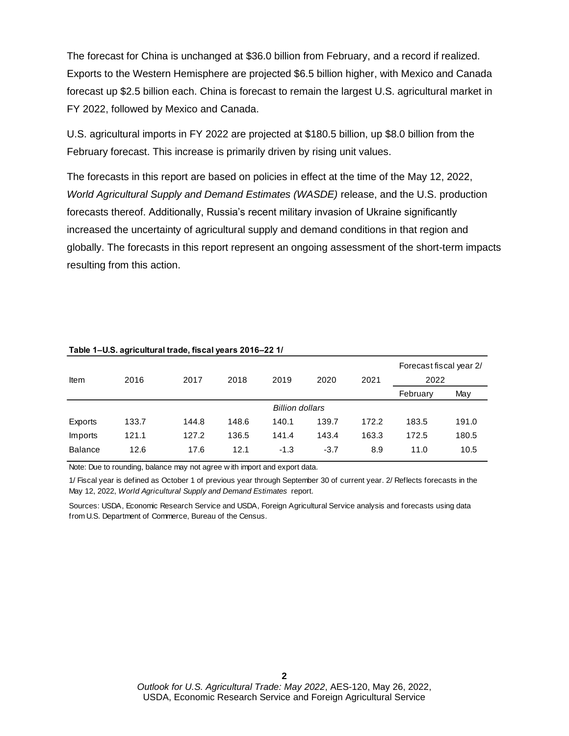The forecast for China is unchanged at \$36.0 billion from February, and a record if realized. Exports to the Western Hemisphere are projected \$6.5 billion higher, with Mexico and Canada forecast up \$2.5 billion each. China is forecast to remain the largest U.S. agricultural market in FY 2022, followed by Mexico and Canada.

U.S. agricultural imports in FY 2022 are projected at \$180.5 billion, up \$8.0 billion from the February forecast. This increase is primarily driven by rising unit values.

The forecasts in this report are based on policies in effect at the time of the May 12, 2022, *World Agricultural Supply and Demand Estimates (WASDE)* release, and the U.S. production forecasts thereof. Additionally, Russia's recent military invasion of Ukraine significantly increased the uncertainty of agricultural supply and demand conditions in that region and globally. The forecasts in this report represent an ongoing assessment of the short-term impacts resulting from this action.

| Item           | 2016  | 2018<br>2019<br>2020<br>2017 |       | 2021                   | Forecast fiscal year 2/<br>2022 |       |          |       |
|----------------|-------|------------------------------|-------|------------------------|---------------------------------|-------|----------|-------|
|                |       |                              |       |                        |                                 |       | February | May   |
|                |       |                              |       | <b>Billion dollars</b> |                                 |       |          |       |
| Exports        | 133.7 | 144.8                        | 148.6 | 140.1                  | 139.7                           | 172.2 | 183.5    | 191.0 |
| Imports        | 121.1 | 127.2                        | 136.5 | 141.4                  | 143.4                           | 163.3 | 172.5    | 180.5 |
| <b>Balance</b> | 12.6  | 17.6                         | 12.1  | $-1.3$                 | $-3.7$                          | 8.9   | 11.0     | 10.5  |
|                |       |                              |       |                        |                                 |       |          |       |

#### **Table 1–U.S. agricultural trade, fiscal years 2016–22 1/**

Note: Due to rounding, balance may not agree w ith import and export data.

1/ Fiscal year is defined as October 1 of previous year through September 30 of current year. 2/ Reflects forecasts in the May 12, 2022, *World Agricultural Supply and Demand Estimates* report.

Sources: USDA, Economic Research Service and USDA, Foreign Agricultural Service analysis and forecasts using data from U.S. Department of Commerce, Bureau of the Census.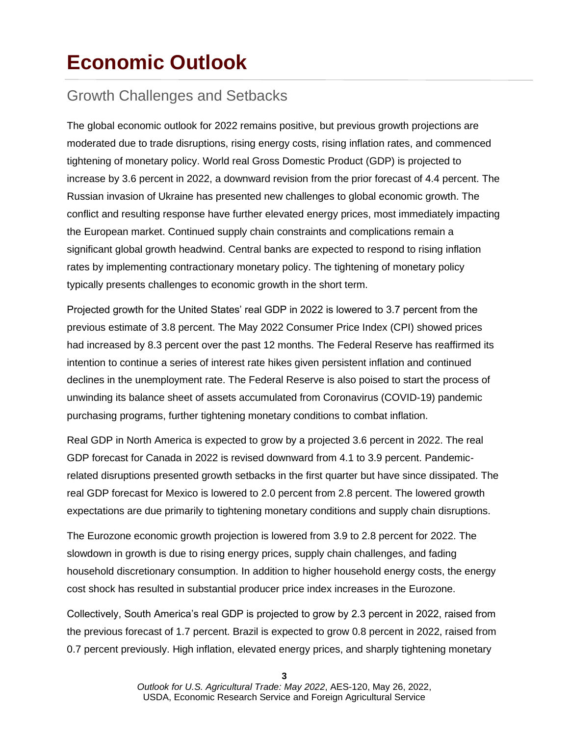# **Economic Outlook**

## Growth Challenges and Setbacks

The global economic outlook for 2022 remains positive, but previous growth projections are moderated due to trade disruptions, rising energy costs, rising inflation rates, and commenced tightening of monetary policy. World real Gross Domestic Product (GDP) is projected to increase by 3.6 percent in 2022, a downward revision from the prior forecast of 4.4 percent. The Russian invasion of Ukraine has presented new challenges to global economic growth. The conflict and resulting response have further elevated energy prices, most immediately impacting the European market. Continued supply chain constraints and complications remain a significant global growth headwind. Central banks are expected to respond to rising inflation rates by implementing contractionary monetary policy. The tightening of monetary policy typically presents challenges to economic growth in the short term.

Projected growth for the United States' real GDP in 2022 is lowered to 3.7 percent from the previous estimate of 3.8 percent. The May 2022 Consumer Price Index (CPI) showed prices had increased by 8.3 percent over the past 12 months. The Federal Reserve has reaffirmed its intention to continue a series of interest rate hikes given persistent inflation and continued declines in the unemployment rate. The Federal Reserve is also poised to start the process of unwinding its balance sheet of assets accumulated from Coronavirus (COVID-19) pandemic purchasing programs, further tightening monetary conditions to combat inflation.

Real GDP in North America is expected to grow by a projected 3.6 percent in 2022. The real GDP forecast for Canada in 2022 is revised downward from 4.1 to 3.9 percent. Pandemicrelated disruptions presented growth setbacks in the first quarter but have since dissipated. The real GDP forecast for Mexico is lowered to 2.0 percent from 2.8 percent. The lowered growth expectations are due primarily to tightening monetary conditions and supply chain disruptions.

The Eurozone economic growth projection is lowered from 3.9 to 2.8 percent for 2022. The slowdown in growth is due to rising energy prices, supply chain challenges, and fading household discretionary consumption. In addition to higher household energy costs, the energy cost shock has resulted in substantial producer price index increases in the Eurozone.

Collectively, South America's real GDP is projected to grow by 2.3 percent in 2022, raised from the previous forecast of 1.7 percent. Brazil is expected to grow 0.8 percent in 2022, raised from 0.7 percent previously. High inflation, elevated energy prices, and sharply tightening monetary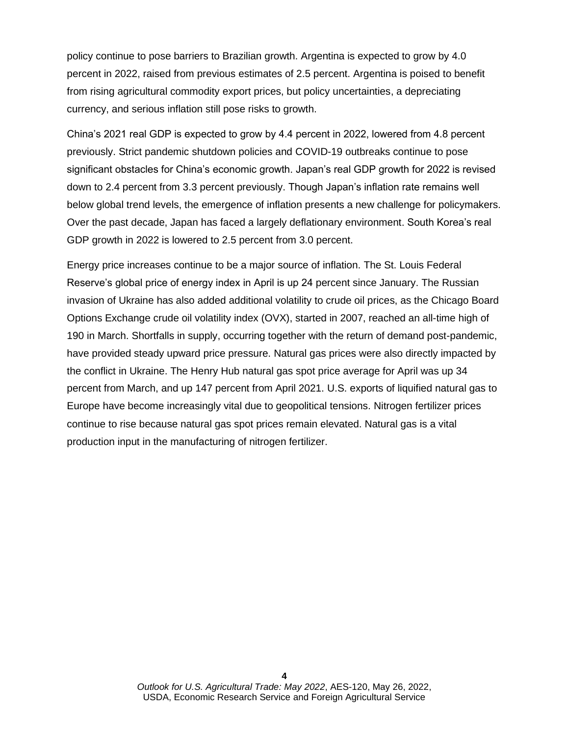policy continue to pose barriers to Brazilian growth. Argentina is expected to grow by 4.0 percent in 2022, raised from previous estimates of 2.5 percent. Argentina is poised to benefit from rising agricultural commodity export prices, but policy uncertainties, a depreciating currency, and serious inflation still pose risks to growth.

China's 2021 real GDP is expected to grow by 4.4 percent in 2022, lowered from 4.8 percent previously. Strict pandemic shutdown policies and COVID-19 outbreaks continue to pose significant obstacles for China's economic growth. Japan's real GDP growth for 2022 is revised down to 2.4 percent from 3.3 percent previously. Though Japan's inflation rate remains well below global trend levels, the emergence of inflation presents a new challenge for policymakers. Over the past decade, Japan has faced a largely deflationary environment. South Korea's real GDP growth in 2022 is lowered to 2.5 percent from 3.0 percent.

Energy price increases continue to be a major source of inflation. The St. Louis Federal Reserve's global price of energy index in April is up 24 percent since January. The Russian invasion of Ukraine has also added additional volatility to crude oil prices, as the Chicago Board Options Exchange crude oil volatility index (OVX), started in 2007, reached an all-time high of 190 in March. Shortfalls in supply, occurring together with the return of demand post-pandemic, have provided steady upward price pressure. Natural gas prices were also directly impacted by the conflict in Ukraine. The Henry Hub natural gas spot price average for April was up 34 percent from March, and up 147 percent from April 2021. U.S. exports of liquified natural gas to Europe have become increasingly vital due to geopolitical tensions. Nitrogen fertilizer prices continue to rise because natural gas spot prices remain elevated. Natural gas is a vital production input in the manufacturing of nitrogen fertilizer.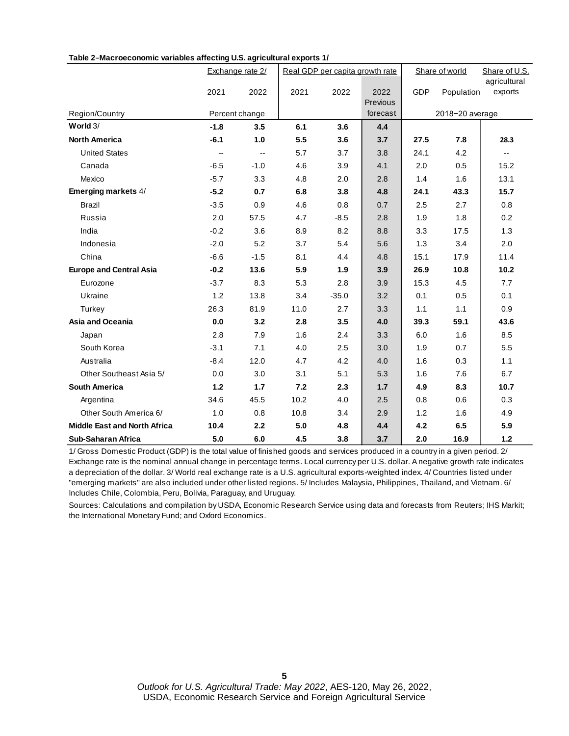|                                     |        | Exchange rate 2/ |      | Real GDP per capita growth rate |          |      | Share of world  | Share of U.S.<br>agricultural |
|-------------------------------------|--------|------------------|------|---------------------------------|----------|------|-----------------|-------------------------------|
|                                     | 2021   | 2022             | 2021 | 2022                            | 2022     | GDP  | Population      | exports                       |
|                                     |        |                  |      |                                 | Previous |      |                 |                               |
| Region/Country                      |        | Percent change   |      |                                 | forecast |      | 2018-20 average |                               |
| World $3/$                          | $-1.8$ | 3.5              | 6.1  | 3.6                             | 4.4      |      |                 |                               |
| <b>North America</b>                | $-6.1$ | 1.0              | 5.5  | 3.6                             | 3.7      | 27.5 | 7.8             | 28.3                          |
| <b>United States</b>                | $-$    | $\overline{a}$   | 5.7  | 3.7                             | 3.8      | 24.1 | 4.2             | $\overline{\phantom{a}}$      |
| Canada                              | $-6.5$ | $-1.0$           | 4.6  | 3.9                             | 4.1      | 2.0  | 0.5             | 15.2                          |
| Mexico                              | $-5.7$ | 3.3              | 4.8  | 2.0                             | 2.8      | 1.4  | 1.6             | 13.1                          |
| Emerging markets 4/                 | $-5.2$ | 0.7              | 6.8  | 3.8                             | 4.8      | 24.1 | 43.3            | 15.7                          |
| <b>Brazil</b>                       | $-3.5$ | 0.9              | 4.6  | 0.8                             | 0.7      | 2.5  | 2.7             | 0.8                           |
| Russia                              | 2.0    | 57.5             | 4.7  | $-8.5$                          | 2.8      | 1.9  | 1.8             | 0.2                           |
| India                               | $-0.2$ | 3.6              | 8.9  | 8.2                             | 8.8      | 3.3  | 17.5            | 1.3                           |
| Indonesia                           | $-2.0$ | 5.2              | 3.7  | 5.4                             | 5.6      | 1.3  | 3.4             | 2.0                           |
| China                               | $-6.6$ | $-1.5$           | 8.1  | 4.4                             | 4.8      | 15.1 | 17.9            | 11.4                          |
| <b>Europe and Central Asia</b>      | $-0.2$ | 13.6             | 5.9  | 1.9                             | 3.9      | 26.9 | 10.8            | 10.2                          |
| Eurozone                            | $-3.7$ | 8.3              | 5.3  | 2.8                             | 3.9      | 15.3 | 4.5             | 7.7                           |
| Ukraine                             | 1.2    | 13.8             | 3.4  | $-35.0$                         | 3.2      | 0.1  | 0.5             | 0.1                           |
| Turkey                              | 26.3   | 81.9             | 11.0 | 2.7                             | 3.3      | 1.1  | 1.1             | 0.9                           |
| Asia and Oceania                    | 0.0    | 3.2              | 2.8  | 3.5                             | 4.0      | 39.3 | 59.1            | 43.6                          |
| Japan                               | 2.8    | 7.9              | 1.6  | 2.4                             | 3.3      | 6.0  | 1.6             | 8.5                           |
| South Korea                         | $-3.1$ | 7.1              | 4.0  | 2.5                             | 3.0      | 1.9  | 0.7             | 5.5                           |
| Australia                           | $-8.4$ | 12.0             | 4.7  | 4.2                             | 4.0      | 1.6  | 0.3             | 1.1                           |
| Other Southeast Asia 5/             | 0.0    | 3.0              | 3.1  | 5.1                             | 5.3      | 1.6  | 7.6             | 6.7                           |
| <b>South America</b>                | $1.2$  | $1.7$            | 7.2  | 2.3                             | $1.7$    | 4.9  | 8.3             | 10.7                          |
| Argentina                           | 34.6   | 45.5             | 10.2 | 4.0                             | 2.5      | 0.8  | 0.6             | 0.3                           |
| Other South America 6/              | 1.0    | 0.8              | 10.8 | 3.4                             | 2.9      | 1.2  | 1.6             | 4.9                           |
| <b>Middle East and North Africa</b> | 10.4   | 2.2              | 5.0  | 4.8                             | 4.4      | 4.2  | 6.5             | 5.9                           |
| Sub-Saharan Africa                  | 5.0    | 6.0              | 4.5  | 3.8                             | 3.7      | 2.0  | 16.9            | 1.2                           |

#### **Table 2−Macroeconomic variables affecting U.S. agricultural exports 1/**

1/ Gross Domestic Product (GDP) is the total value of finished goods and services produced in a country in a given period. 2/ Exchange rate is the nominal annual change in percentage terms. Local currency per U.S. dollar. A negative growth rate indicates a depreciation of the dollar. 3/ World real exchange rate is a U.S. agricultural exports-weighted index. 4/ Countries listed under "emerging markets" are also included under other listed regions. 5/ Includes Malaysia, Philippines, Thailand, and Vietnam. 6/ Includes Chile, Colombia, Peru, Bolivia, Paraguay, and Uruguay.

Sources: Calculations and compilation by USDA, Economic Research Service using data and forecasts from Reuters; IHS Markit; the International Monetary Fund; and Oxford Economics.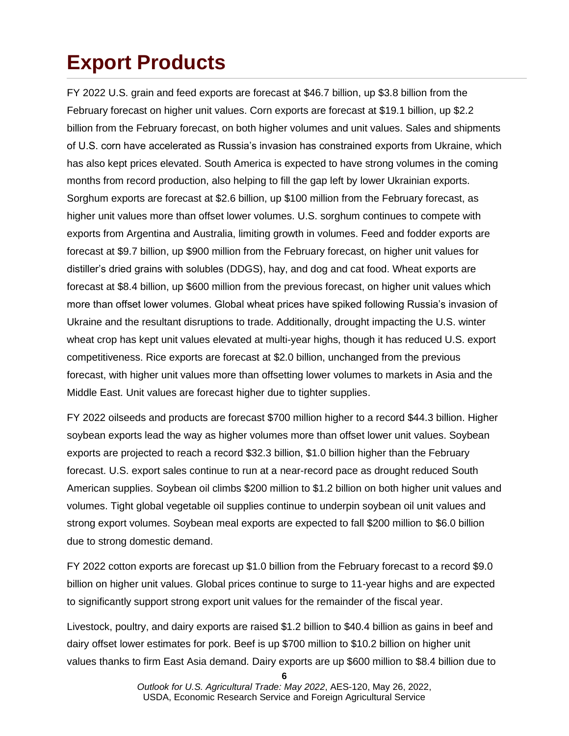# **Export Products**

FY 2022 U.S. grain and feed exports are forecast at \$46.7 billion, up \$3.8 billion from the February forecast on higher unit values. Corn exports are forecast at \$19.1 billion, up \$2.2 billion from the February forecast, on both higher volumes and unit values. Sales and shipments of U.S. corn have accelerated as Russia's invasion has constrained exports from Ukraine, which has also kept prices elevated. South America is expected to have strong volumes in the coming months from record production, also helping to fill the gap left by lower Ukrainian exports. Sorghum exports are forecast at \$2.6 billion, up \$100 million from the February forecast, as higher unit values more than offset lower volumes. U.S. sorghum continues to compete with exports from Argentina and Australia, limiting growth in volumes. Feed and fodder exports are forecast at \$9.7 billion, up \$900 million from the February forecast, on higher unit values for distiller's dried grains with solubles (DDGS), hay, and dog and cat food. Wheat exports are forecast at \$8.4 billion, up \$600 million from the previous forecast, on higher unit values which more than offset lower volumes. Global wheat prices have spiked following Russia's invasion of Ukraine and the resultant disruptions to trade. Additionally, drought impacting the U.S. winter wheat crop has kept unit values elevated at multi-year highs, though it has reduced U.S. export competitiveness. Rice exports are forecast at \$2.0 billion, unchanged from the previous forecast, with higher unit values more than offsetting lower volumes to markets in Asia and the Middle East. Unit values are forecast higher due to tighter supplies.

FY 2022 oilseeds and products are forecast \$700 million higher to a record \$44.3 billion. Higher soybean exports lead the way as higher volumes more than offset lower unit values. Soybean exports are projected to reach a record \$32.3 billion, \$1.0 billion higher than the February forecast. U.S. export sales continue to run at a near-record pace as drought reduced South American supplies. Soybean oil climbs \$200 million to \$1.2 billion on both higher unit values and volumes. Tight global vegetable oil supplies continue to underpin soybean oil unit values and strong export volumes. Soybean meal exports are expected to fall \$200 million to \$6.0 billion due to strong domestic demand.

FY 2022 cotton exports are forecast up \$1.0 billion from the February forecast to a record \$9.0 billion on higher unit values. Global prices continue to surge to 11-year highs and are expected to significantly support strong export unit values for the remainder of the fiscal year.

Livestock, poultry, and dairy exports are raised \$1.2 billion to \$40.4 billion as gains in beef and dairy offset lower estimates for pork. Beef is up \$700 million to \$10.2 billion on higher unit values thanks to firm East Asia demand. Dairy exports are up \$600 million to \$8.4 billion due to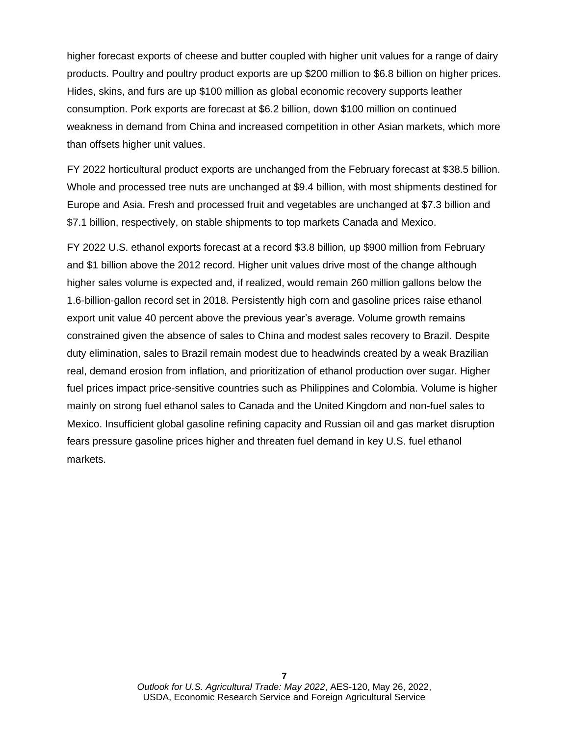higher forecast exports of cheese and butter coupled with higher unit values for a range of dairy products. Poultry and poultry product exports are up \$200 million to \$6.8 billion on higher prices. Hides, skins, and furs are up \$100 million as global economic recovery supports leather consumption. Pork exports are forecast at \$6.2 billion, down \$100 million on continued weakness in demand from China and increased competition in other Asian markets, which more than offsets higher unit values.

FY 2022 horticultural product exports are unchanged from the February forecast at \$38.5 billion. Whole and processed tree nuts are unchanged at \$9.4 billion, with most shipments destined for Europe and Asia. Fresh and processed fruit and vegetables are unchanged at \$7.3 billion and \$7.1 billion, respectively, on stable shipments to top markets Canada and Mexico.

FY 2022 U.S. ethanol exports forecast at a record \$3.8 billion, up \$900 million from February and \$1 billion above the 2012 record. Higher unit values drive most of the change although higher sales volume is expected and, if realized, would remain 260 million gallons below the 1.6-billion-gallon record set in 2018. Persistently high corn and gasoline prices raise ethanol export unit value 40 percent above the previous year's average. Volume growth remains constrained given the absence of sales to China and modest sales recovery to Brazil. Despite duty elimination, sales to Brazil remain modest due to headwinds created by a weak Brazilian real, demand erosion from inflation, and prioritization of ethanol production over sugar. Higher fuel prices impact price-sensitive countries such as Philippines and Colombia. Volume is higher mainly on strong fuel ethanol sales to Canada and the United Kingdom and non-fuel sales to Mexico. Insufficient global gasoline refining capacity and Russian oil and gas market disruption fears pressure gasoline prices higher and threaten fuel demand in key U.S. fuel ethanol markets.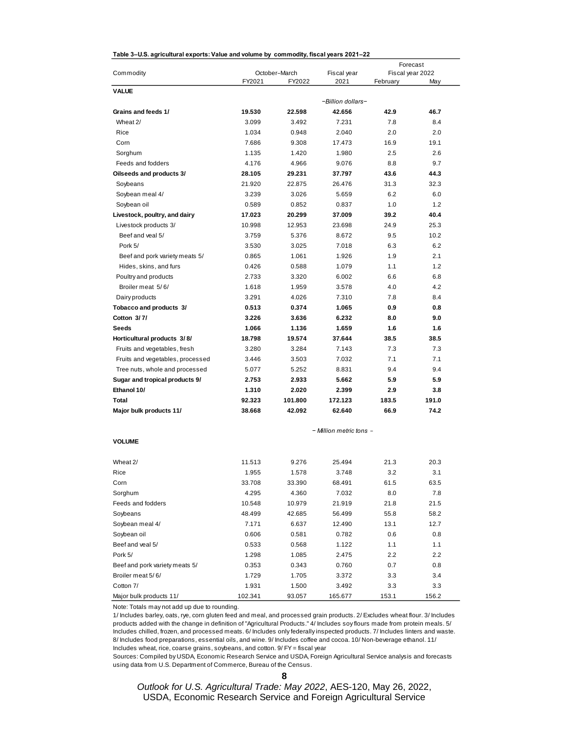| Table 3–U.S. agricultural exports: Value and volume by  commodity, fiscal years 2021–22 |         |               |                         | Forecast         |         |
|-----------------------------------------------------------------------------------------|---------|---------------|-------------------------|------------------|---------|
| Commodity                                                                               |         | October-March | Fiscal year             | Fiscal year 2022 |         |
|                                                                                         | FY2021  | FY2022        | 2021                    | February         | May     |
| <b>VALUE</b>                                                                            |         |               |                         |                  |         |
|                                                                                         |         |               | -Billion dollars-       |                  |         |
| Grains and feeds 1/                                                                     | 19.530  | 22.598        | 42.656                  | 42.9             | 46.7    |
| Wheat 2/                                                                                | 3.099   | 3.492         | 7.231                   | 7.8              | 8.4     |
| Rice                                                                                    | 1.034   | 0.948         | 2.040                   | 2.0              | 2.0     |
| Corn                                                                                    | 7.686   | 9.308         | 17.473                  | 16.9             | 19.1    |
| Sorghum                                                                                 | 1.135   | 1.420         | 1.980                   | 2.5              | 2.6     |
| Feeds and fodders                                                                       | 4.176   | 4.966         | 9.076                   | 8.8              | 9.7     |
| Oilseeds and products 3/                                                                | 28.105  | 29.231        | 37.797                  | 43.6             | 44.3    |
| Soybeans                                                                                | 21.920  | 22.875        | 26.476                  | 31.3             | 32.3    |
| Soybean meal 4/                                                                         | 3.239   | 3.026         | 5.659                   | 6.2              | 6.0     |
| Soybean oil                                                                             | 0.589   | 0.852         | 0.837                   | 1.0              | 1.2     |
| Livestock, poultry, and dairy                                                           | 17.023  | 20.299        | 37.009                  | 39.2             | 40.4    |
| Livestock products 3/                                                                   | 10.998  | 12.953        | 23.698                  | 24.9             | 25.3    |
| Beef and yeal 5/                                                                        | 3.759   | 5.376         | 8.672                   | 9.5              | 10.2    |
| Pork 5/                                                                                 | 3.530   | 3.025         | 7.018                   | 6.3              | 6.2     |
| Beef and pork variety meats 5/                                                          | 0.865   | 1.061         | 1.926                   | 1.9              | 2.1     |
| Hides, skins, and furs                                                                  | 0.426   | 0.588         | 1.079                   | 1.1              | 1.2     |
| Poultry and products                                                                    | 2.733   | 3.320         | 6.002                   | 6.6              | 6.8     |
| Broiler meat 5/6/                                                                       | 1.618   | 1.959         | 3.578                   | 4.0              | 4.2     |
| Dairy products                                                                          | 3.291   | 4.026         | 7.310                   | 7.8              | 8.4     |
| Tobacco and products 3/                                                                 | 0.513   | 0.374         | 1.065                   | 0.9              | 0.8     |
| Cotton 3/7/                                                                             | 3.226   | 3.636         | 6.232                   | 8.0              | 9.0     |
| Seeds                                                                                   | 1.066   | 1.136         | 1.659                   | 1.6              | 1.6     |
| Horticultural products 3/8/                                                             | 18.798  | 19.574        | 37.644                  | 38.5             | 38.5    |
| Fruits and vegetables, fresh                                                            | 3.280   | 3.284         | 7.143                   | 7.3              | 7.3     |
| Fruits and vegetables, processed                                                        | 3.446   | 3.503         | 7.032                   | 7.1              | 7.1     |
| Tree nuts, whole and processed                                                          | 5.077   | 5.252         | 8.831                   | 9.4              | 9.4     |
| Sugar and tropical products 9/                                                          | 2.753   | 2.933         | 5.662                   | 5.9              | 5.9     |
| Ethanol 10/                                                                             | 1.310   | 2.020         | 2.399                   | 2.9              | 3.8     |
| Total                                                                                   | 92.323  | 101.800       | 172.123                 | 183.5            | 191.0   |
| Major bulk products 11/                                                                 | 38.668  | 42.092        | 62.640                  | 66.9             | 74.2    |
|                                                                                         |         |               | - Million metric tons - |                  |         |
| <b>VOLUME</b>                                                                           |         |               |                         |                  |         |
| Wheat 2/                                                                                | 11.513  | 9.276         | 25.494                  | 21.3             | 20.3    |
| Rice                                                                                    | 1.955   | 1.578         | 3.748                   | 3.2              | 3.1     |
| Corn                                                                                    | 33.708  | 33.390        | 68.491                  | 61.5             | 63.5    |
| Sorghum                                                                                 | 4.295   | 4.360         | 7.032                   | $_{\rm 8.0}$     | 7.8     |
| Feeds and fodders                                                                       | 10.548  | 10.979        | 21.919                  | 21.8             | 21.5    |
| Soybeans                                                                                | 48.499  | 42.685        | 56.499                  | 55.8             | 58.2    |
| Soybean meal 4/                                                                         | 7.171   | 6.637         | 12.490                  | 13.1             | 12.7    |
| Soybean oil                                                                             | 0.606   | 0.581         | 0.782                   | 0.6              | 0.8     |
| Beef and veal 5/                                                                        | 0.533   | 0.568         | 1.122                   | 1.1              | 1.1     |
| Pork 5/                                                                                 | 1.298   | 1.085         | 2.475                   | 2.2              | $2.2\,$ |
| Beef and pork variety meats 5/                                                          | 0.353   | 0.343         | 0.760                   | 0.7              | 0.8     |
| Broiler meat 5/6/                                                                       | 1.729   | 1.705         | 3.372                   | 3.3              | 3.4     |
| Cotton 7/                                                                               | 1.931   | 1.500         | 3.492                   | 3.3              | 3.3     |
| Major bulk products 11/                                                                 | 102.341 | 93.057        | 165.677                 | 153.1            | 156.2   |

#### **Table 3–U.S. agricultural exports: Value and volume by commodity, fiscal years 2021–22**

Note: Totals may not add up due to rounding.

1/ Includes barley, oats, rye, corn gluten feed and meal, and processed grain products. 2/ Excludes wheat flour. 3/ Includes products added with the change in definition of "Agricultural Products." 4/ Includes soy flours made from protein meals. 5/ Includes chilled, frozen, and processed meats. 6/ Includes only federally inspected products. 7/ Includes linters and waste. 8/ Includes food preparations, essential oils, and wine. 9/ Includes coffee and cocoa. 10/ Non-beverage ethanol. 11/ Includes wheat, rice, coarse grains, soybeans, and cotton. 9/ FY = fiscal year

Sources: Compiled by USDA, Economic Research Service and USDA, Foreign Agricultural Service analysis and forecasts using data from U.S. Department of Commerce, Bureau of the Census.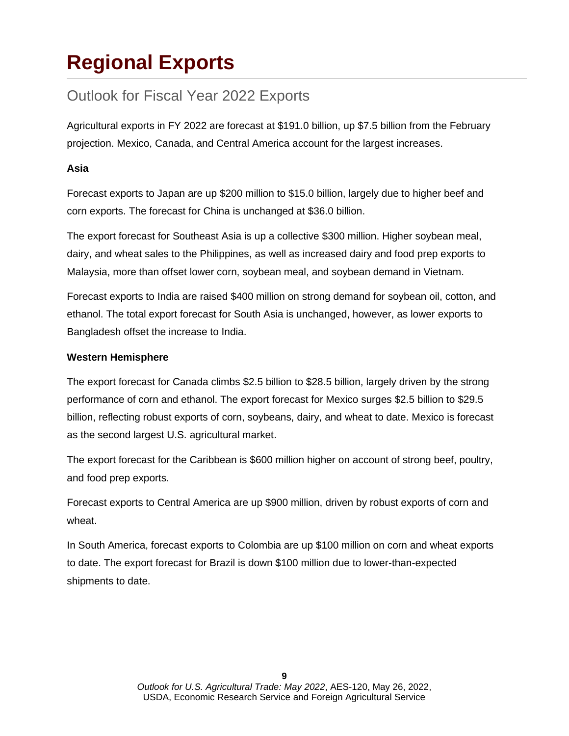# **Regional Exports**

## Outlook for Fiscal Year 2022 Exports

Agricultural exports in FY 2022 are forecast at \$191.0 billion, up \$7.5 billion from the February projection. Mexico, Canada, and Central America account for the largest increases.

### **Asia**

Forecast exports to Japan are up \$200 million to \$15.0 billion, largely due to higher beef and corn exports. The forecast for China is unchanged at \$36.0 billion.

The export forecast for Southeast Asia is up a collective \$300 million. Higher soybean meal, dairy, and wheat sales to the Philippines, as well as increased dairy and food prep exports to Malaysia, more than offset lower corn, soybean meal, and soybean demand in Vietnam.

Forecast exports to India are raised \$400 million on strong demand for soybean oil, cotton, and ethanol. The total export forecast for South Asia is unchanged, however, as lower exports to Bangladesh offset the increase to India.

### **Western Hemisphere**

The export forecast for Canada climbs \$2.5 billion to \$28.5 billion, largely driven by the strong performance of corn and ethanol. The export forecast for Mexico surges \$2.5 billion to \$29.5 billion, reflecting robust exports of corn, soybeans, dairy, and wheat to date. Mexico is forecast as the second largest U.S. agricultural market.

The export forecast for the Caribbean is \$600 million higher on account of strong beef, poultry, and food prep exports.

Forecast exports to Central America are up \$900 million, driven by robust exports of corn and wheat.

In South America, forecast exports to Colombia are up \$100 million on corn and wheat exports to date. The export forecast for Brazil is down \$100 million due to lower-than-expected shipments to date.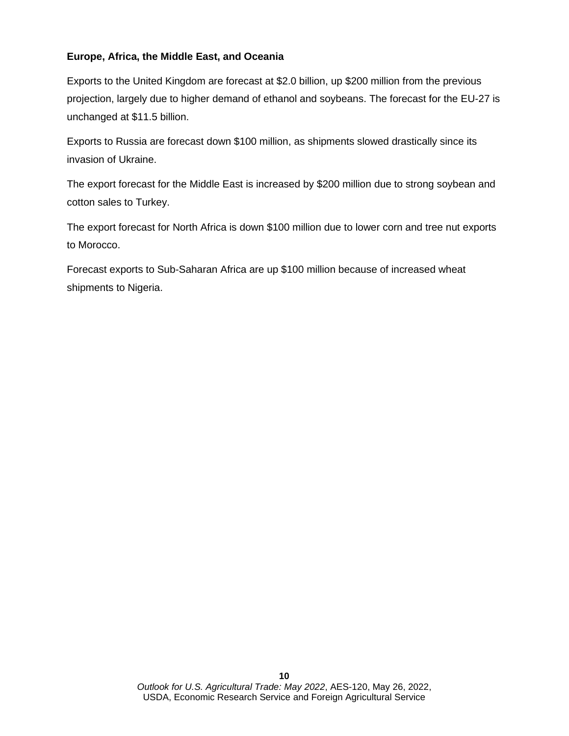### **Europe, Africa, the Middle East, and Oceania**

Exports to the United Kingdom are forecast at \$2.0 billion, up \$200 million from the previous projection, largely due to higher demand of ethanol and soybeans. The forecast for the EU-27 is unchanged at \$11.5 billion.

Exports to Russia are forecast down \$100 million, as shipments slowed drastically since its invasion of Ukraine.

The export forecast for the Middle East is increased by \$200 million due to strong soybean and cotton sales to Turkey.

The export forecast for North Africa is down \$100 million due to lower corn and tree nut exports to Morocco.

Forecast exports to Sub-Saharan Africa are up \$100 million because of increased wheat shipments to Nigeria.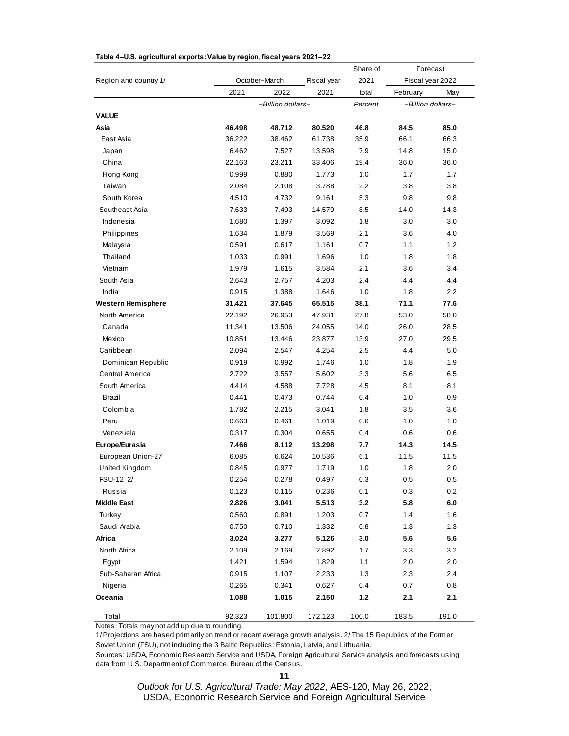|                           |        |                   |             | Share of |          | Forecast          |
|---------------------------|--------|-------------------|-------------|----------|----------|-------------------|
| Region and country 1/     |        | October-March     | Fiscal year | 2021     |          | Fiscal year 2022  |
|                           | 2021   | 2022              | 2021        | total    | February | May               |
|                           |        | -Billion dollars- |             | Percent  |          | -Billion dollars- |
| VALUE                     |        |                   |             |          |          |                   |
| Asia                      | 46.498 | 48.712            | 80.520      | 46.8     | 84.5     | 85.0              |
| East Asia                 | 36.222 | 38.462            | 61.738      | 35.9     | 66.1     | 66.3              |
| Japan                     | 6.462  | 7.527             | 13.598      | 7.9      | 14.8     | 15.0              |
| China                     | 22.163 | 23.211            | 33.406      | 19.4     | 36.0     | 36.0              |
| Hong Kong                 | 0.999  | 0.880             | 1.773       | 1.0      | 1.7      | 1.7               |
| Taiwan                    | 2.084  | 2.108             | 3.788       | 2.2      | 3.8      | 3.8               |
| South Korea               | 4.510  | 4.732             | 9.161       | 5.3      | 9.8      | 9.8               |
| Southeast Asia            | 7.633  | 7.493             | 14.579      | 8.5      | 14.0     | 14.3              |
| Indonesia                 | 1.680  | 1.397             | 3.092       | $1.8\,$  | 3.0      | 3.0               |
| Philippines               | 1.634  | 1.879             | 3.569       | 2.1      | 3.6      | 4.0               |
| Malaysia                  | 0.591  | 0.617             | 1.161       | 0.7      | 1.1      | 1.2               |
| Thailand                  | 1.033  | 0.991             | 1.696       | 1.0      | 1.8      | 1.8               |
| Vietnam                   | 1.979  | 1.615             | 3.584       | 2.1      | 3.6      | 3.4               |
| South Asia                | 2.643  | 2.757             | 4.203       | 2.4      | 4.4      | 4.4               |
| India                     | 0.915  | 1.388             | 1.646       | 1.0      | 1.8      | 2.2               |
| <b>Western Hemisphere</b> | 31.421 | 37.645            | 65.515      | 38.1     | 71.1     | 77.6              |
| North America             | 22.192 | 26.953            | 47.931      | 27.8     | 53.0     | 58.0              |
| Canada                    | 11.341 | 13.506            | 24.055      | 14.0     | 26.0     | 28.5              |
| Mexico                    | 10.851 | 13.446            | 23.877      | 13.9     | 27.0     | 29.5              |
| Caribbean                 | 2.094  | 2.547             | 4.254       | 2.5      | 4.4      | 5.0               |
| Dominican Republic        | 0.919  | 0.992             | 1.746       | 1.0      | 1.8      | 1.9               |
| Central America           | 2.722  | 3.557             | 5.602       | 3.3      | 5.6      | 6.5               |
| South America             | 4.414  | 4.588             | 7.728       | 4.5      | 8.1      | 8.1               |
| Brazil                    | 0.441  | 0.473             | 0.744       | 0.4      | 1.0      | 0.9               |
| Colombia                  | 1.782  | 2.215             | 3.041       | 1.8      | 3.5      | 3.6               |
| Peru                      | 0.663  | 0.461             | 1.019       | 0.6      | 1.0      | 1.0               |
| Venezuela                 | 0.317  | 0.304             | 0.655       | 0.4      | 0.6      | 0.6               |
| Europe/Eurasia            | 7.466  | 8.112             | 13.298      | 7.7      | 14.3     | 14.5              |
| European Union-27         | 6.085  | 6.624             | 10.536      | 6.1      | 11.5     | 11.5              |
| United Kingdom            | 0.845  | 0.977             | 1.719       | 1.0      | 1.8      | 2.0               |
| FSU-12 2/                 | 0.254  | 0.278             | 0.497       | 0.3      | 0.5      | 0.5               |
| Russia                    | 0.123  | 0.115             | 0.236       | 0.1      | 0.3      | 0.2               |
| <b>Middle East</b>        | 2.826  | 3.041             | 5.513       | 3.2      | 5.8      | 6.0               |
| Turkey                    | 0.560  | 0.891             | 1.203       | 0.7      | 1.4      | 1.6               |
| Saudi Arabia              | 0.750  | 0.710             | 1.332       | 0.8      | 1.3      | 1.3               |
| Africa                    | 3.024  | 3.277             | 5.126       | 3.0      | 5.6      | 5.6               |
| North Africa              | 2.109  | 2.169             | 2.892       | 1.7      | 3.3      | 3.2               |
| Egypt                     | 1.421  | 1.594             | 1.829       | 1.1      | 2.0      | 2.0               |
| Sub-Saharan Africa        | 0.915  | 1.107             | 2.233       | 1.3      | 2.3      | 2.4               |
| Nigeria                   | 0.265  | 0.341             | 0.627       | 0.4      | 0.7      | 0.8               |
| Oceania                   | 1.088  | 1.015             | 2.150       | $1.2$    | 2.1      | 2.1               |
| Total                     | 92.323 | 101.800           | 172.123     | 100.0    | 183.5    | 191.0             |

#### **Table 4–U.S. agricultural exports: Value by region, fiscal years 2021–22**

Notes: Totals may not add up due to rounding.

1/ Projections are based primarily on trend or recent average growth analysis. 2/ The 15 Republics of the Former Soviet Union (FSU), not including the 3 Baltic Republics: Estonia, Latvia, and Lithuania.

Sources: USDA, Economic Research Service and USDA, Foreign Agricultural Service analysis and forecasts using data from U.S. Department of Commerce, Bureau of the Census.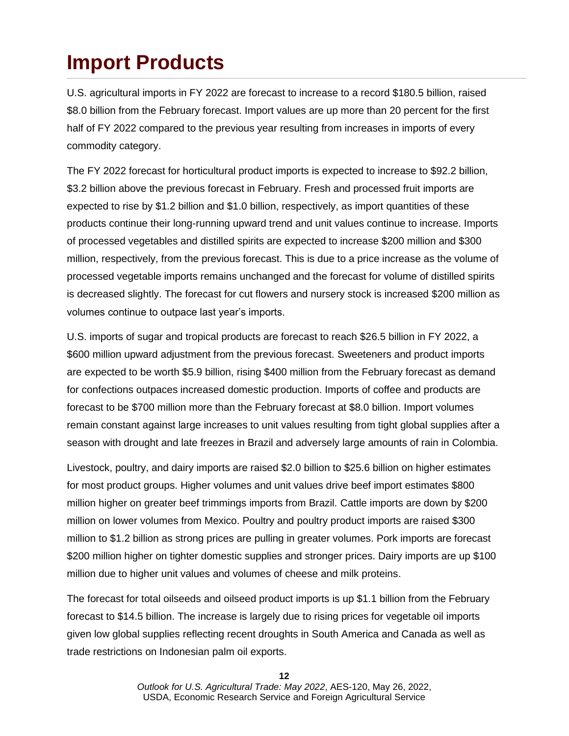# **Import Products**

U.S. agricultural imports in FY 2022 are forecast to increase to a record \$180.5 billion, raised \$8.0 billion from the February forecast. Import values are up more than 20 percent for the first half of FY 2022 compared to the previous year resulting from increases in imports of every commodity category.

The FY 2022 forecast for horticultural product imports is expected to increase to \$92.2 billion, \$3.2 billion above the previous forecast in February. Fresh and processed fruit imports are expected to rise by \$1.2 billion and \$1.0 billion, respectively, as import quantities of these products continue their long-running upward trend and unit values continue to increase. Imports of processed vegetables and distilled spirits are expected to increase \$200 million and \$300 million, respectively, from the previous forecast. This is due to a price increase as the volume of processed vegetable imports remains unchanged and the forecast for volume of distilled spirits is decreased slightly. The forecast for cut flowers and nursery stock is increased \$200 million as volumes continue to outpace last year's imports.

U.S. imports of sugar and tropical products are forecast to reach \$26.5 billion in FY 2022, a \$600 million upward adjustment from the previous forecast. Sweeteners and product imports are expected to be worth \$5.9 billion, rising \$400 million from the February forecast as demand for confections outpaces increased domestic production. Imports of coffee and products are forecast to be \$700 million more than the February forecast at \$8.0 billion. Import volumes remain constant against large increases to unit values resulting from tight global supplies after a season with drought and late freezes in Brazil and adversely large amounts of rain in Colombia.

Livestock, poultry, and dairy imports are raised \$2.0 billion to \$25.6 billion on higher estimates for most product groups. Higher volumes and unit values drive beef import estimates \$800 million higher on greater beef trimmings imports from Brazil. Cattle imports are down by \$200 million on lower volumes from Mexico. Poultry and poultry product imports are raised \$300 million to \$1.2 billion as strong prices are pulling in greater volumes. Pork imports are forecast \$200 million higher on tighter domestic supplies and stronger prices. Dairy imports are up \$100 million due to higher unit values and volumes of cheese and milk proteins.

The forecast for total oilseeds and oilseed product imports is up \$1.1 billion from the February forecast to \$14.5 billion. The increase is largely due to rising prices for vegetable oil imports given low global supplies reflecting recent droughts in South America and Canada as well as trade restrictions on Indonesian palm oil exports.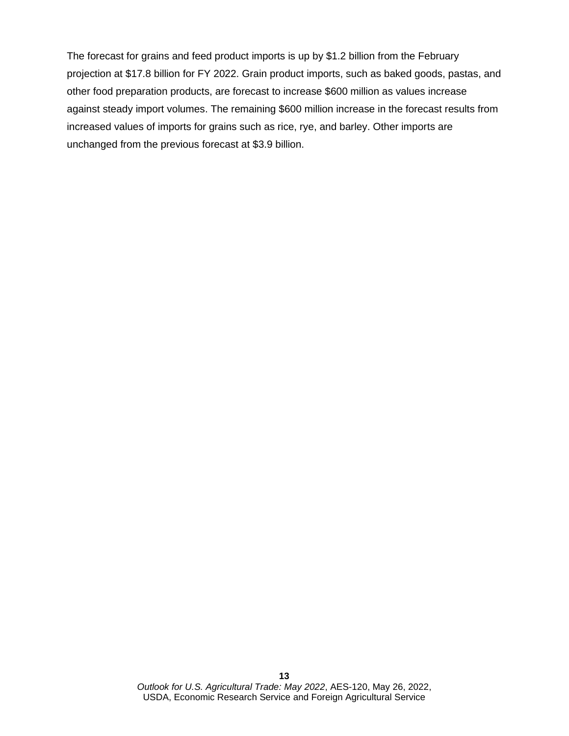The forecast for grains and feed product imports is up by \$1.2 billion from the February projection at \$17.8 billion for FY 2022. Grain product imports, such as baked goods, pastas, and other food preparation products, are forecast to increase \$600 million as values increase against steady import volumes. The remaining \$600 million increase in the forecast results from increased values of imports for grains such as rice, rye, and barley. Other imports are unchanged from the previous forecast at \$3.9 billion.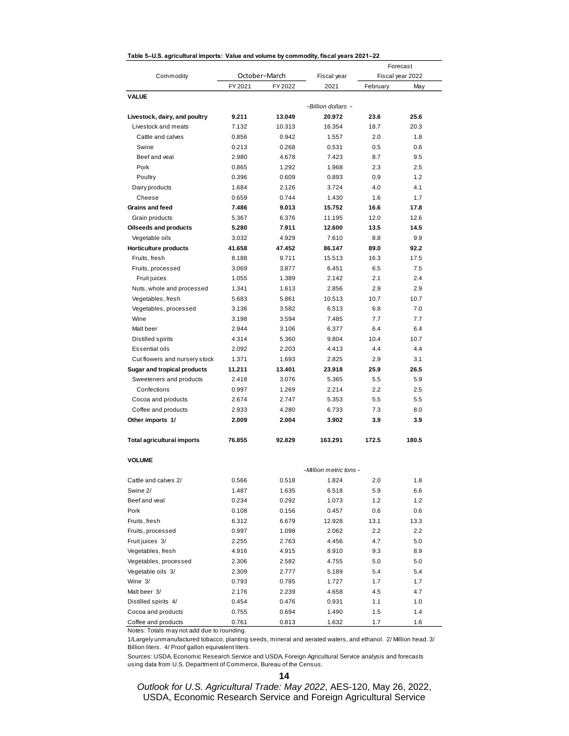| rable 0-0.0. agricultural imports. Value and volume by commodity, hocal years 2021-22 |         |               |                       |          |                  |
|---------------------------------------------------------------------------------------|---------|---------------|-----------------------|----------|------------------|
|                                                                                       |         | October-March |                       |          | Forecast         |
| Commodity                                                                             |         | FY 2022       | Fiscal year           |          | Fiscal year 2022 |
| <b>VALUE</b>                                                                          | FY 2021 |               | 2021                  | February | May              |
|                                                                                       |         |               | -Billion dollars -    |          |                  |
| Livestock, dairy, and poultry                                                         | 9.211   | 13.049        | 20.972                | 23.6     | 25.6             |
| Livestock and meats                                                                   | 7.132   | 10.313        | 16.354                | 18.7     | 20.3             |
| Cattle and calves                                                                     | 0.856   | 0.942         | 1.557                 | 2.0      | 1.8              |
| Swine                                                                                 | 0.213   | 0.268         | 0.531                 | 0.5      | 0.6              |
| Beef and yeal                                                                         | 2.980   | 4.678         | 7.423                 | 8.7      | 9.5              |
| Pork                                                                                  | 0.865   | 1.292         | 1.968                 | 2.3      | 2.5              |
| Poultry                                                                               | 0.396   | 0.609         | 0.893                 | 0.9      | 1.2              |
| Dairy products                                                                        | 1.684   | 2.126         | 3.724                 | 4.0      | 4.1              |
| Cheese                                                                                | 0.659   | 0.744         | 1.430                 | 1.6      | 1.7              |
| Grains and feed                                                                       | 7.486   | 9.013         | 15.752                | 16.6     | 17.8             |
| Grain products                                                                        | 5.367   | 6.376         | 11.195                | 12.0     | 12.6             |
| <b>Oilseeds and products</b>                                                          | 5.280   | 7.911         | 12.600                | 13.5     | 14.5             |
| Vegetable oils                                                                        | 3.032   | 4.929         | 7.610                 | 8.8      | 9.9              |
| Horticulture products                                                                 | 41.658  | 47.452        | 86.147                | 89.0     | 92.2             |
| Fruits, fresh                                                                         | 8.188   | 9.711         | 15.513                | 16.3     | 17.5             |
| Fruits, processed                                                                     | 3.069   | 3.877         | 6.451                 | 6.5      | 7.5              |
| Fruit juices                                                                          | 1.055   | 1.389         | 2.142                 | 2.1      | 2.4              |
| Nuts, whole and processed                                                             | 1.341   | 1.613         | 2.856                 | 2.9      | 2.9              |
| Vegetables, fresh                                                                     | 5.683   | 5.861         | 10.513                | 10.7     | 10.7             |
| Vegetables, processed                                                                 | 3.136   | 3.582         | 6.513                 | 6.8      | 7.0              |
| Wine                                                                                  | 3.198   | 3.594         | 7.485                 | 7.7      | 7.7              |
| Malt beer                                                                             | 2.944   | 3.106         | 6.377                 | 6.4      | 6.4              |
| Distilled spirits                                                                     | 4.314   | 5.360         | 9.804                 | 10.4     | 10.7             |
| Essential oils                                                                        | 2.092   | 2.203         | 4.413                 | 4.4      | 4.4              |
| Cut flowers and nursery stock                                                         | 1.371   | 1.693         | 2.825                 | 2.9      | 3.1              |
| Sugar and tropical products                                                           | 11.211  | 13.401        | 23.918                | 25.9     | 26.5             |
| Sweeteners and products                                                               | 2.418   | 3.076         | 5.365                 | 5.5      | 5.9              |
| Confections                                                                           | 0.997   | 1.269         | 2.214                 | 2.2      | 2.5              |
| Cocoa and products                                                                    | 2.674   | 2.747         | 5.353                 | 5.5      | 5.5              |
| Coffee and products                                                                   | 2.933   | 4.280         | 6.733                 | 7.3      | 8.0              |
| Other imports 1/                                                                      | 2.009   | 2.004         | 3.902                 | 3.9      | 3.9              |
|                                                                                       |         |               |                       |          |                  |
| <b>Total agricultural imports</b>                                                     | 76.855  | 92.829        | 163.291               | 172.5    | 180.5            |
| <b>VOLUME</b>                                                                         |         |               |                       |          |                  |
|                                                                                       |         |               | -Million metric tons- |          |                  |
| Cattle and calves 2/                                                                  | 0.566   | 0.518         | 1.824                 | 2.0      | 1.8              |
| Swine 2/                                                                              | 1.487   | 1.635         | 6.518                 | 5.9      | 6.6              |
| Beef and veal                                                                         | 0.234   | 0.292         | 1.073                 | 1.2      | 1.2              |
| Pork                                                                                  | 0.108   | 0.156         | 0.457                 | 0.6      | 0.6              |
| Fruits, fresh                                                                         | 6.312   | 6.679         | 12.928                | 13.1     | 13.3             |
| Fruits, processed                                                                     | 0.997   | 1.098         | 2.062                 | 2.2      | 2.2              |
| Fruit juices 3/                                                                       | 2.255   | 2.763         | 4.456                 | 4.7      | 5.0              |
| Vegetables, fresh                                                                     | 4.916   | 4.915         | 8.910                 | 9.3      | 8.9              |
| Vegetables, processed                                                                 | 2.306   | 2.582         | 4.755                 | 5.0      | 5.0              |
| Vegetable oils 3/                                                                     | 2.309   | 2.777         | 5.189                 | 5.4      | 5.4              |
| Wine 3/                                                                               | 0.793   | 0.785         | 1.727                 | 1.7      | 1.7              |
| Malt beer 3/                                                                          | 2.176   | 2.239         | 4.658                 | 4.5      | 4.7              |
| Distilled spirits 4/                                                                  | 0.454   | 0.476         | 0.931                 | 1.1      | 1.0              |
| Cocoa and products                                                                    | 0.755   | 0.694         | 1.490                 | 1.5      | 1.4              |
| Coffee and products                                                                   | 0.761   | 0.813         | 1.632                 | 1.7      | 1.6              |

#### **Table 5–U.S. agricultural imports: Value and volume by commodity, fiscal years 2021–22**

Notes: Totals may not add due to rounding.

1/Largely unmanufactured tobacco, planting seeds, mineral and aerated waters, and ethanol. 2/ Million head. 3/ Billion liters. 4/ Proof gallon equivalent liters.

Sources: USDA, Economic Research Service and USDA, Foreign Agricultural Service analysis and forecasts using data from U.S. Department of Commerce, Bureau of the Census.

**14**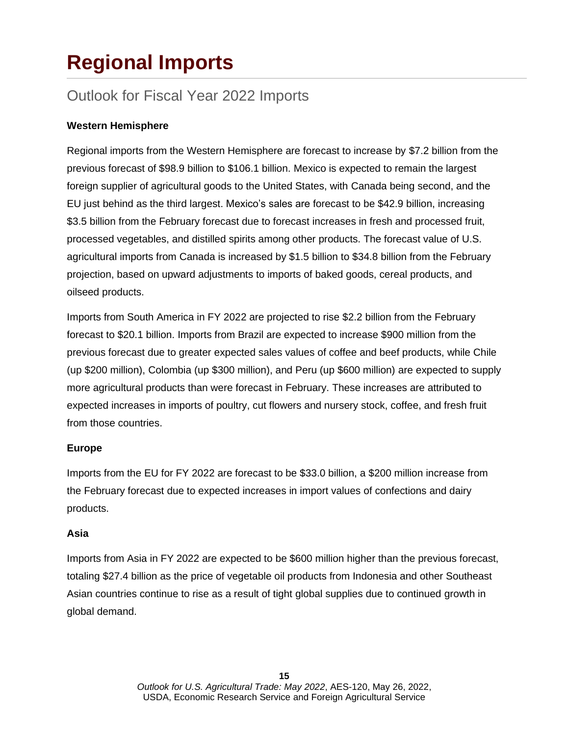# **Regional Imports**

### Outlook for Fiscal Year 2022 Imports

### **Western Hemisphere**

Regional imports from the Western Hemisphere are forecast to increase by \$7.2 billion from the previous forecast of \$98.9 billion to \$106.1 billion. Mexico is expected to remain the largest foreign supplier of agricultural goods to the United States, with Canada being second, and the EU just behind as the third largest. Mexico's sales are forecast to be \$42.9 billion, increasing \$3.5 billion from the February forecast due to forecast increases in fresh and processed fruit, processed vegetables, and distilled spirits among other products. The forecast value of U.S. agricultural imports from Canada is increased by \$1.5 billion to \$34.8 billion from the February projection, based on upward adjustments to imports of baked goods, cereal products, and oilseed products.

Imports from South America in FY 2022 are projected to rise \$2.2 billion from the February forecast to \$20.1 billion. Imports from Brazil are expected to increase \$900 million from the previous forecast due to greater expected sales values of coffee and beef products, while Chile (up \$200 million), Colombia (up \$300 million), and Peru (up \$600 million) are expected to supply more agricultural products than were forecast in February. These increases are attributed to expected increases in imports of poultry, cut flowers and nursery stock, coffee, and fresh fruit from those countries.

### **Europe**

Imports from the EU for FY 2022 are forecast to be \$33.0 billion, a \$200 million increase from the February forecast due to expected increases in import values of confections and dairy products.

### **Asia**

Imports from Asia in FY 2022 are expected to be \$600 million higher than the previous forecast, totaling \$27.4 billion as the price of vegetable oil products from Indonesia and other Southeast Asian countries continue to rise as a result of tight global supplies due to continued growth in global demand.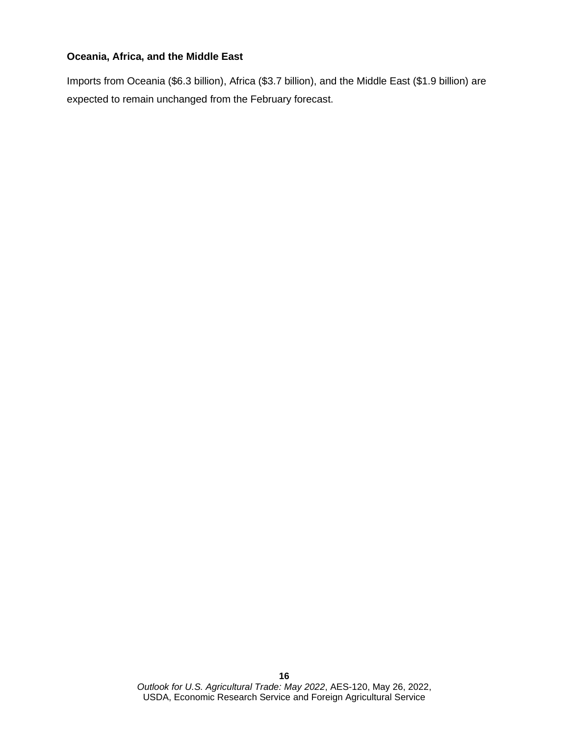### **Oceania, Africa, and the Middle East**

Imports from Oceania (\$6.3 billion), Africa (\$3.7 billion), and the Middle East (\$1.9 billion) are expected to remain unchanged from the February forecast.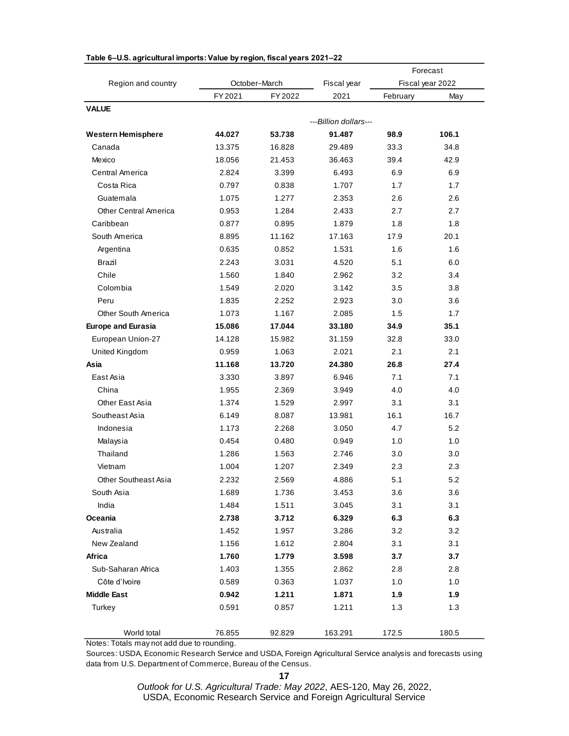|                              |         |                                                                                                                                                                                                                                                                                                                                                                                                                                                                                                                                                                                                                                                                       |         |                  | Forecast |
|------------------------------|---------|-----------------------------------------------------------------------------------------------------------------------------------------------------------------------------------------------------------------------------------------------------------------------------------------------------------------------------------------------------------------------------------------------------------------------------------------------------------------------------------------------------------------------------------------------------------------------------------------------------------------------------------------------------------------------|---------|------------------|----------|
| Region and country           |         | October-March<br>Fiscal year<br>FY 2022<br>2021<br>---Billion dollars---<br>91.487<br>53.738<br>16.828<br>29.489<br>21.453<br>36.463<br>3.399<br>6.493<br>0.838<br>1.707<br>1.277<br>2.353<br>1.284<br>2.433<br>1.879<br>0.895<br>11.162<br>17.163<br>0.852<br>1.531<br>3.031<br>4.520<br>1.840<br>2.962<br>2.020<br>3.142<br>2.252<br>2.923<br>1.167<br>2.085<br>17.044<br>33.180<br>15.982<br>31.159<br>1.063<br>2.021<br>24.380<br>13.720<br>6.946<br>3.897<br>2.369<br>3.949<br>1.529<br>2.997<br>8.087<br>13.981<br>2.268<br>3.050<br>0.480<br>0.949<br>1.563<br>2.746<br>1.207<br>2.349<br>2.569<br>4.886<br>1.736<br>3.453<br>1.511<br>3.045<br>3.712<br>6.329 |         | Fiscal year 2022 |          |
|                              | FY 2021 |                                                                                                                                                                                                                                                                                                                                                                                                                                                                                                                                                                                                                                                                       |         | February         | May      |
| <b>VALUE</b>                 |         |                                                                                                                                                                                                                                                                                                                                                                                                                                                                                                                                                                                                                                                                       |         |                  |          |
|                              |         |                                                                                                                                                                                                                                                                                                                                                                                                                                                                                                                                                                                                                                                                       |         |                  |          |
| <b>Western Hemisphere</b>    | 44.027  |                                                                                                                                                                                                                                                                                                                                                                                                                                                                                                                                                                                                                                                                       |         | 98.9             | 106.1    |
| Canada                       | 13.375  |                                                                                                                                                                                                                                                                                                                                                                                                                                                                                                                                                                                                                                                                       |         | 33.3             | 34.8     |
| Mexico                       | 18.056  |                                                                                                                                                                                                                                                                                                                                                                                                                                                                                                                                                                                                                                                                       |         | 39.4             | 42.9     |
| Central America              | 2.824   |                                                                                                                                                                                                                                                                                                                                                                                                                                                                                                                                                                                                                                                                       |         | 6.9              | 6.9      |
| Costa Rica                   | 0.797   |                                                                                                                                                                                                                                                                                                                                                                                                                                                                                                                                                                                                                                                                       |         | 1.7              | 1.7      |
| Guatemala                    | 1.075   |                                                                                                                                                                                                                                                                                                                                                                                                                                                                                                                                                                                                                                                                       |         | 2.6              | 2.6      |
| <b>Other Central America</b> | 0.953   |                                                                                                                                                                                                                                                                                                                                                                                                                                                                                                                                                                                                                                                                       |         | 2.7              | 2.7      |
| Caribbean                    | 0.877   |                                                                                                                                                                                                                                                                                                                                                                                                                                                                                                                                                                                                                                                                       |         | 1.8              | 1.8      |
| South America                | 8.895   |                                                                                                                                                                                                                                                                                                                                                                                                                                                                                                                                                                                                                                                                       |         | 17.9             | 20.1     |
| Argentina                    | 0.635   |                                                                                                                                                                                                                                                                                                                                                                                                                                                                                                                                                                                                                                                                       |         | 1.6              | 1.6      |
| Brazil                       | 2.243   |                                                                                                                                                                                                                                                                                                                                                                                                                                                                                                                                                                                                                                                                       |         | 5.1              | 6.0      |
| Chile                        | 1.560   |                                                                                                                                                                                                                                                                                                                                                                                                                                                                                                                                                                                                                                                                       |         | 3.2              | 3.4      |
| Colombia                     | 1.549   |                                                                                                                                                                                                                                                                                                                                                                                                                                                                                                                                                                                                                                                                       |         | 3.5              | 3.8      |
| Peru                         | 1.835   |                                                                                                                                                                                                                                                                                                                                                                                                                                                                                                                                                                                                                                                                       |         | 3.0              | 3.6      |
| <b>Other South America</b>   | 1.073   |                                                                                                                                                                                                                                                                                                                                                                                                                                                                                                                                                                                                                                                                       |         | 1.5              | 1.7      |
| <b>Europe and Eurasia</b>    | 15.086  |                                                                                                                                                                                                                                                                                                                                                                                                                                                                                                                                                                                                                                                                       |         | 34.9             | 35.1     |
| European Union-27            | 14.128  |                                                                                                                                                                                                                                                                                                                                                                                                                                                                                                                                                                                                                                                                       |         | 32.8             | 33.0     |
| United Kingdom               | 0.959   |                                                                                                                                                                                                                                                                                                                                                                                                                                                                                                                                                                                                                                                                       |         | 2.1              | 2.1      |
| Asia                         | 11.168  |                                                                                                                                                                                                                                                                                                                                                                                                                                                                                                                                                                                                                                                                       |         | 26.8             | 27.4     |
| East Asia                    | 3.330   |                                                                                                                                                                                                                                                                                                                                                                                                                                                                                                                                                                                                                                                                       |         | 7.1              | 7.1      |
| China                        | 1.955   |                                                                                                                                                                                                                                                                                                                                                                                                                                                                                                                                                                                                                                                                       |         | 4.0              | 4.0      |
| Other East Asia              | 1.374   |                                                                                                                                                                                                                                                                                                                                                                                                                                                                                                                                                                                                                                                                       |         | 3.1              | 3.1      |
| Southeast Asia               | 6.149   |                                                                                                                                                                                                                                                                                                                                                                                                                                                                                                                                                                                                                                                                       |         | 16.1             | 16.7     |
| Indonesia                    | 1.173   |                                                                                                                                                                                                                                                                                                                                                                                                                                                                                                                                                                                                                                                                       |         | 4.7              | 5.2      |
| Malaysia                     | 0.454   |                                                                                                                                                                                                                                                                                                                                                                                                                                                                                                                                                                                                                                                                       |         | 1.0              | 1.0      |
| Thailand                     | 1.286   |                                                                                                                                                                                                                                                                                                                                                                                                                                                                                                                                                                                                                                                                       |         | 3.0              | 3.0      |
| Vietnam                      | 1.004   |                                                                                                                                                                                                                                                                                                                                                                                                                                                                                                                                                                                                                                                                       |         | 2.3              | 2.3      |
| <b>Other Southeast Asia</b>  | 2.232   |                                                                                                                                                                                                                                                                                                                                                                                                                                                                                                                                                                                                                                                                       |         | 5.1              | 5.2      |
| South Asia                   | 1.689   |                                                                                                                                                                                                                                                                                                                                                                                                                                                                                                                                                                                                                                                                       |         | 3.6              | 3.6      |
| India                        | 1.484   |                                                                                                                                                                                                                                                                                                                                                                                                                                                                                                                                                                                                                                                                       |         | 3.1              | 3.1      |
| Oceania                      | 2.738   |                                                                                                                                                                                                                                                                                                                                                                                                                                                                                                                                                                                                                                                                       |         | 6.3              | 6.3      |
| Australia                    | 1.452   | 1.957                                                                                                                                                                                                                                                                                                                                                                                                                                                                                                                                                                                                                                                                 | 3.286   | 3.2              | 3.2      |
| New Zealand                  | 1.156   | 1.612                                                                                                                                                                                                                                                                                                                                                                                                                                                                                                                                                                                                                                                                 | 2.804   | 3.1              | 3.1      |
| Africa                       | 1.760   | 1.779                                                                                                                                                                                                                                                                                                                                                                                                                                                                                                                                                                                                                                                                 | 3.598   | 3.7              | 3.7      |
| Sub-Saharan Africa           | 1.403   | 1.355                                                                                                                                                                                                                                                                                                                                                                                                                                                                                                                                                                                                                                                                 | 2.862   | 2.8              | 2.8      |
| Côte d'Ivoire                | 0.589   | 0.363                                                                                                                                                                                                                                                                                                                                                                                                                                                                                                                                                                                                                                                                 | 1.037   | 1.0              | 1.0      |
| <b>Middle East</b>           | 0.942   | 1.211                                                                                                                                                                                                                                                                                                                                                                                                                                                                                                                                                                                                                                                                 | 1.871   | 1.9              | 1.9      |
| Turkey                       | 0.591   | 0.857                                                                                                                                                                                                                                                                                                                                                                                                                                                                                                                                                                                                                                                                 | 1.211   | 1.3              | 1.3      |
|                              |         |                                                                                                                                                                                                                                                                                                                                                                                                                                                                                                                                                                                                                                                                       |         |                  |          |
| World total                  | 76.855  | 92.829                                                                                                                                                                                                                                                                                                                                                                                                                                                                                                                                                                                                                                                                | 163.291 | 172.5            | 180.5    |

#### **Table 6–U.S. agricultural imports: Value by region, fiscal years 2021–22**

Notes: Totals may not add due to rounding.

Sources: USDA, Economic Research Service and USDA, Foreign Agricultural Service analysis and forecasts using data from U.S. Department of Commerce, Bureau of the Census.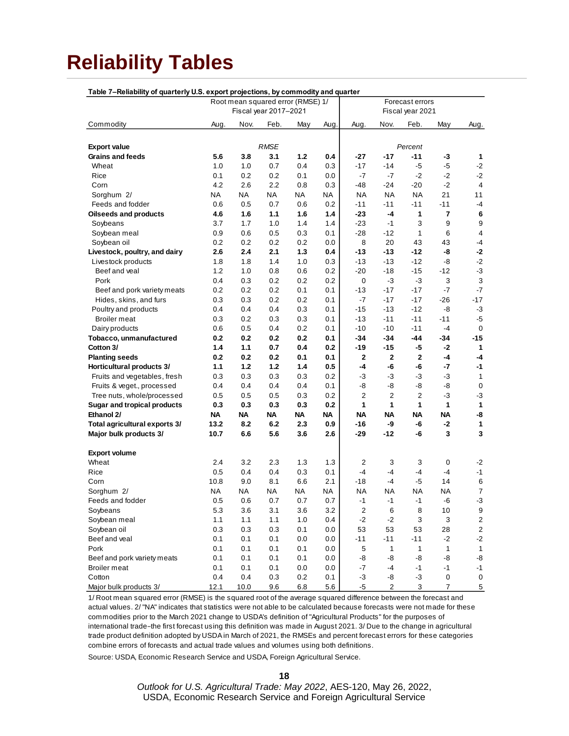# **Reliability Tables**

| Table 7-Reliability of quarterly U.S. export projections, by commodity and quarter |                                                      |           |                       |         |          |                  |                |                  |                         |                           |
|------------------------------------------------------------------------------------|------------------------------------------------------|-----------|-----------------------|---------|----------|------------------|----------------|------------------|-------------------------|---------------------------|
|                                                                                    | Root mean squared error (RMSE) 1/<br>Forecast errors |           |                       |         |          |                  |                |                  |                         |                           |
|                                                                                    |                                                      |           | Fiscal year 2017-2021 |         |          |                  |                | Fiscal year 2021 |                         |                           |
| Commodity                                                                          | Aug.                                                 | Nov.      | Feb.                  | May     | Aug.     | Aug.             | Nov.           | Feb.             | May                     | Aug.                      |
|                                                                                    |                                                      |           |                       |         |          |                  |                |                  |                         |                           |
| <b>Export value</b>                                                                |                                                      |           | <b>RMSE</b>           |         |          |                  |                | Percent          |                         |                           |
| <b>Grains and feeds</b>                                                            | 5.6                                                  | 3.8       | 3.1                   | $1.2$   | 0.4      | -27              | $-17$          | $-11$            | -3                      | 1                         |
| Wheat                                                                              | 1.0                                                  | 1.0       | 0.7                   | 0.4     | 0.3      | $-17$            | $-14$          | $-5$             | $-5$                    | $-2$                      |
| Rice                                                                               | 0.1                                                  | 0.2       | 0.2                   | 0.1     | 0.0      | $-7$             | $-7$           | $-2$             | $-2$                    | $-2$                      |
| Corn                                                                               | 4.2                                                  | 2.6       | 2.2                   | 0.8     | 0.3      | -48              | $-24$          | $-20$            | $-2$                    | $\overline{\mathbf{4}}$   |
| Sorghum 2/                                                                         | NA                                                   | ΝA        | NA                    | ΝA      | NA       | ΝA               | NA             | <b>NA</b>        | 21                      | 11                        |
| Feeds and fodder                                                                   | 0.6                                                  | 0.5       | 0.7                   | 0.6     | 0.2      | $-11$            | -11            | $-11$            | $-11$                   | -4                        |
| <b>Oilseeds and products</b>                                                       | 4.6                                                  | 1.6       | 1.1                   | 1.6     | 1.4      | -23              | -4             | 1                | $\overline{\mathbf{r}}$ | 6                         |
| Soybeans                                                                           | 3.7                                                  | 1.7       | 1.0                   | 1.4     | 1.4      | $-23$            | $-1$           | 3                | 9                       | 9                         |
| Soybean meal                                                                       | 0.9                                                  | 0.6       | 0.5                   | 0.3     | 0.1      | $-28$            | -12            | 1                | 6                       | 4                         |
| Soybean oil                                                                        | 0.2                                                  | 0.2       | 0.2                   | 0.2     | $_{0.0}$ | 8                | 20             | 43               | 43                      | -4                        |
| Livestock, poultry, and dairy                                                      | 2.6                                                  | 2.4       | 2.1                   | 1.3     | 0.4      | -13              | $-13$          | $-12$            | -8                      | $-2$                      |
| Livestock products                                                                 | 1.8                                                  | 1.8       | 1.4                   | 1.0     | 0.3      | $-13$            | $-13$          | $-12$            | -8                      | $-2$                      |
| Beef and veal                                                                      | 1.2                                                  | 1.0       | 0.8                   | 0.6     | 0.2      | $-20$            | $-18$          | $-15$            | $-12$                   | $-3$                      |
| Pork                                                                               | 0.4                                                  | 0.3       | 0.2                   | 0.2     | 0.2      | 0                | -3             | $-3$             | 3                       | $\ensuremath{\mathsf{3}}$ |
| Beef and pork variety meats                                                        | 0.2                                                  | 0.2       | 0.2                   | 0.1     | 0.1      | -13              | $-17$          | $-17$            | -7                      | $-7$                      |
| Hides, skins, and furs                                                             | 0.3                                                  | 0.3       | 0.2                   | 0.2     | 0.1      | -7               | $-17$          | $-17$            | $-26$                   | $-17$                     |
| Poultry and products                                                               | 0.4                                                  | 0.4       | 0.4                   | 0.3     | 0.1      | $-15$            | $-13$          | $-12$            | -8                      | $-3$                      |
| <b>Broiler</b> meat                                                                | 0.3                                                  | 0.2       | 0.3                   | 0.3     | 0.1      | $-13$            | $-11$          | $-11$            | $-11$                   | -5                        |
| Dairy products                                                                     | 0.6                                                  | 0.5       | 0.4                   | 0.2     | 0.1      | $-10$            | -10            | $-11$            | $-4$                    | 0                         |
| Tobacco, unmanufactured                                                            | 0.2                                                  | 0.2       | 0.2                   | 0.2     | 0.1      | -34              | -34            | -44              | $-34$                   | -15                       |
| Cotton 3/                                                                          | 1.4                                                  | 1.1       | 0.7                   | 0.4     | 0.2      | -19              | -15            | $-5$             | $-2$                    | 1                         |
| <b>Planting seeds</b>                                                              | 0.2                                                  | 0.2       | 0.2                   | 0.1     | 0.1      | $\mathbf{2}$     | $\mathbf{2}$   | $\mathbf{2}$     | -4                      | -4                        |
| Horticultural products 3/                                                          | 1.1                                                  | $1.2$     | $1.2$                 | 1.4     | 0.5      | -4               | -6             | -6               | -7                      | -1                        |
| Fruits and vegetables, fresh                                                       | 0.3                                                  | 0.3       | 0.3                   | 0.3     | 0.2      | $-3$             | -3             | $-3$             | $-3$                    | $\mathbf{1}$              |
| Fruits & veget., processed                                                         | 0.4                                                  | 0.4       | 0.4                   | 0.4     | 0.1      | -8               | -8             | -8               | -8                      | $\pmb{0}$                 |
| Tree nuts, whole/processed                                                         | 0.5                                                  | 0.5       | 0.5                   | 0.3     | 0.2      | $\overline{2}$   | $\overline{2}$ | 2                | -3                      | -3                        |
| <b>Sugar and tropical products</b>                                                 | 0.3                                                  | 0.3       | 0.3                   | 0.3     | 0.2      | 1                | 1              | 1                | 1                       | 1                         |
| Ethanol 2/                                                                         | ΝA                                                   | ΝA        | NA                    | ΝA      | ΝA       | ΝA               | ΝA             | ΝA               | <b>NA</b>               | -8                        |
| Total agricultural exports 3/                                                      | 13.2                                                 | 8.2       | 6.2                   | 2.3     | 0.9      | -16              | -9             | -6               | -2                      | $\mathbf{1}$              |
| Major bulk products 3/                                                             | 10.7                                                 | 6.6       | 5.6                   | 3.6     | 2.6      | -29              | -12            | -6               | 3                       | $\mathbf{3}$              |
|                                                                                    |                                                      |           |                       |         |          |                  |                |                  |                         |                           |
| <b>Export volume</b>                                                               |                                                      |           |                       |         |          |                  |                |                  |                         |                           |
| Wheat                                                                              | 2.4                                                  | 3.2       | 2.3                   | 1.3     | 1.3      | 2                | 3              | 3                | 0                       | -2                        |
| Rice                                                                               | 0.5                                                  | 0.4       | 0.4                   | 0.3     | 0.1      | $-4$             | $-4$           | $-4$             | $-4$                    | $-1$                      |
| Corn                                                                               | 10.8                                                 | 9.0       | 8.1                   | 6.6     | 2.1      | $-18$            | $-4$           | -5               | 14                      | 6                         |
| Sorghum 2/                                                                         | NA                                                   | <b>NA</b> | NA                    | ΝA      | NA       | ΝA               | ΝA             | <b>NA</b>        | NA                      | $\overline{7}$            |
| Feeds and fodder                                                                   | 0.5                                                  | 0.6       | 0.7                   | 0.7     | 0.7      | $-1$             | $-1$           | $-1$             | -6                      | $-3$                      |
| Soybeans                                                                           | 5.3                                                  | 3.6       | 3.1                   | 3.6     | 3.2      | $\boldsymbol{2}$ | 6              | 8                | $10$                    | 9                         |
| Soybean meal                                                                       | $1.1$                                                | $1.1$     | 1.1                   | $1.0$   | 0.4      | $-2$             | $-2$           | 3                | 3                       | $\overline{\mathbf{c}}$   |
| Soybean oil                                                                        | 0.3                                                  | 0.3       | 0.3                   | 0.1     | 0.0      | 53               | 53             | 53               | 28                      | $\overline{\mathbf{c}}$   |
| Beef and veal                                                                      | 0.1                                                  | 0.1       | 0.1                   | 0.0     | 0.0      | $-11$            | $-11$          | $-11$            | $-2$                    | $-2$                      |
| Pork                                                                               | 0.1                                                  | 0.1       | 0.1                   | 0.1     | 0.0      | 5                | $\mathbf{1}$   | $\mathbf{1}$     | $\mathbf{1}$            | $\mathbf{1}$              |
| Beef and pork variety meats                                                        | 0.1                                                  | 0.1       | 0.1                   | 0.1     | 0.0      | -8               | -8             | -8               | -8                      | -8                        |
| <b>Broiler</b> meat                                                                | 0.1                                                  | 0.1       | 0.1                   | 0.0     | 0.0      | $-7$             | $-4$           | $-1$             | $-1$                    | $-1$                      |
| Cotton                                                                             | 0.4                                                  | 0.4       | 0.3                   | 0.2     | 0.1      | $-3$             | -8             | $-3$             | $\pmb{0}$               | 0                         |
| Major bulk products 3/                                                             | 12.1                                                 | 10.0      | 9.6                   | $6.8\,$ | 5.6      | $-5$             | $\overline{2}$ | 3                | 7                       | $\overline{5}$            |

1/ Root mean squared error (RMSE) is the squared root of the average squared difference between the forecast and actual values. 2/ "NA" indicates that statistics were not able to be calculated because forecasts were not made for these commodities prior to the March 2021 change to USDA's definition of "Agricultural Products" for the purposes of international trade−the first forecast using this definition was made in August 2021. 3/ Due to the change in agricultural trade product definition adopted by USDA in March of 2021, the RMSEs and percent forecast errors for these categories combine errors of forecasts and actual trade values and volumes using both definitions.

Source: USDA, Economic Research Service and USDA, Foreign Agricultural Service.

**18**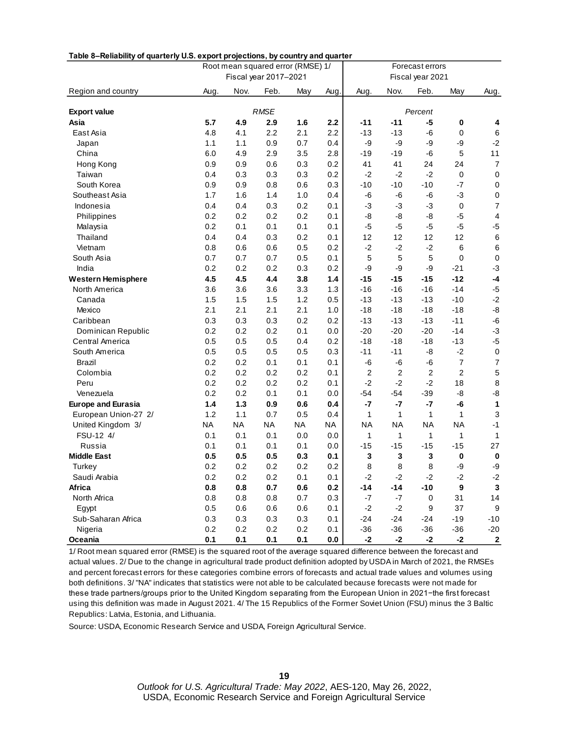| Table 8–Reliability of quarterly U.S. export projections, by country and quarter |                       |           |             | Root mean squared error (RMSE) 1/ |           |                | Forecast errors |                  |                  |                           |  |
|----------------------------------------------------------------------------------|-----------------------|-----------|-------------|-----------------------------------|-----------|----------------|-----------------|------------------|------------------|---------------------------|--|
|                                                                                  | Fiscal year 2017-2021 |           |             |                                   |           |                |                 | Fiscal year 2021 |                  |                           |  |
| Region and country                                                               | Aug.                  | Nov.      | Feb.        | May                               | Aug.      | Aug.           | Nov.            | Feb.             | May              | Aug.                      |  |
| <b>Export value</b>                                                              |                       |           | <b>RMSE</b> |                                   |           |                |                 | Percent          |                  |                           |  |
| Asia                                                                             | 5.7                   | 4.9       | 2.9         | 1.6                               | 2.2       | $-11$          | $-11$           | -5               | 0                | 4                         |  |
| East Asia                                                                        | 4.8                   | 4.1       | 2.2         | 2.1                               | 2.2       | $-13$          | $-13$           | -6               | 0                | 6                         |  |
| Japan                                                                            | 1.1                   | 1.1       | 0.9         | 0.7                               | 0.4       | -9             | -9              | -9               | -9               | $-2$                      |  |
| China                                                                            | 6.0                   | 4.9       | 2.9         | 3.5                               | 2.8       | $-19$          | $-19$           | -6               | 5                | 11                        |  |
| Hong Kong                                                                        | 0.9                   | 0.9       | 0.6         | 0.3                               | 0.2       | 41             | 41              | 24               | 24               | $\boldsymbol{7}$          |  |
| Taiwan                                                                           | 0.4                   | 0.3       | 0.3         | 0.3                               | 0.2       | $-2$           | $-2$            | $-2$             | $\pmb{0}$        | $\pmb{0}$                 |  |
| South Korea                                                                      | 0.9                   | 0.9       | 0.8         | 0.6                               | 0.3       | $-10$          | $-10$           | $-10$            | $-7$             | $\pmb{0}$                 |  |
| Southeast Asia                                                                   | 1.7                   | 1.6       | 1.4         | 1.0                               | 0.4       | -6             | -6              | -6               | $-3$             | $\pmb{0}$                 |  |
| Indonesia                                                                        | 0.4                   | 0.4       | 0.3         | 0.2                               | 0.1       | -3             | -3              | $-3$             | $\mathbf 0$      | $\overline{7}$            |  |
| Philippines                                                                      | 0.2                   | 0.2       | 0.2         | 0.2                               | 0.1       | -8             | -8              | -8               | $-5$             | $\overline{\mathbf{4}}$   |  |
| Malaysia                                                                         | 0.2                   | 0.1       | 0.1         | 0.1                               | 0.1       | $-5$           | $-5$            | $-5$             | $-5$             | $-5$                      |  |
| Thailand                                                                         | 0.4                   | 0.4       | 0.3         | 0.2                               | 0.1       | 12             | 12              | 12               | 12               | $\,6\,$                   |  |
| Vietnam                                                                          | 0.8                   | 0.6       | 0.6         | 0.5                               | 0.2       | $-2$           | $-2$            | $-2$             | 6                | $\,6\,$                   |  |
| South Asia                                                                       | 0.7                   | 0.7       | 0.7         | 0.5                               | 0.1       | 5              | 5               | 5                | $\mathbf 0$      | $\pmb{0}$                 |  |
| India                                                                            | 0.2                   | 0.2       | 0.2         | 0.3                               | 0.2       | -9             | -9              | -9               | $-21$            | $-3$                      |  |
| <b>Western Hemisphere</b>                                                        | 4.5                   | 4.5       | 4.4         | 3.8                               | 1.4       | $-15$          | $-15$           | $-15$            | $-12$            | $-4$                      |  |
| North America                                                                    | 3.6                   | 3.6       | 3.6         | 3.3                               | 1.3       | $-16$          | $-16$           | $-16$            | $-14$            | $-5$                      |  |
| Canada                                                                           | 1.5                   | 1.5       | 1.5         | 1.2                               | 0.5       | $-13$          | $-13$           | $-13$            | $-10$            | $-2$                      |  |
| Mexico                                                                           | 2.1                   | 2.1       | 2.1         | 2.1                               | 1.0       | $-18$          | $-18$           | $-18$            | $-18$            | $-8$                      |  |
| Caribbean                                                                        | 0.3                   | 0.3       | 0.3         | 0.2                               | 0.2       | $-13$          | $-13$           | $-13$            | $-11$            | -6                        |  |
| Dominican Republic                                                               | 0.2                   | 0.2       | 0.2         | 0.1                               | 0.0       | $-20$          | $-20$           | $-20$            | $-14$            | $-3$                      |  |
| Central America                                                                  | 0.5                   | 0.5       | 0.5         | 0.4                               | 0.2       | $-18$          | $-18$           | $-18$            | $-13$            | $-5$                      |  |
| South America                                                                    | 0.5                   | 0.5       | 0.5         | 0.5                               | 0.3       | $-11$          | $-11$           | -8               | $-2$             | $\pmb{0}$                 |  |
| Brazil                                                                           | 0.2                   | 0.2       | 0.1         | 0.1                               | 0.1       | -6             | -6              | $-6$             | $\overline{7}$   | $\boldsymbol{7}$          |  |
| Colombia                                                                         | 0.2                   | 0.2       | 0.2         | 0.2                               | 0.1       | $\overline{2}$ | $\overline{2}$  | $\sqrt{2}$       | $\overline{c}$   | $\sqrt{5}$                |  |
| Peru                                                                             | 0.2                   | 0.2       | 0.2         | 0.2                               | 0.1       | $-2$           | $-2$            | $-2$             | 18               | 8                         |  |
| Venezuela                                                                        | 0.2                   | 0.2       | 0.1         | 0.1                               | 0.0       | $-54$          | $-54$           | $-39$            | -8               | $-8$                      |  |
| <b>Europe and Eurasia</b>                                                        | 1.4                   | 1.3       | 0.9         | 0.6                               | 0.4       | $-7$           | $-7$            | $-7$             | -6               | $\mathbf{1}$              |  |
| European Union-27 2/                                                             | 1.2                   | 1.1       | 0.7         | 0.5                               | 0.4       | 1              | 1               | 1                | 1                | $\ensuremath{\mathsf{3}}$ |  |
| United Kingdom 3/                                                                | NA                    | <b>NA</b> | <b>NA</b>   | <b>NA</b>                         | <b>NA</b> | <b>NA</b>      | <b>NA</b>       | <b>NA</b>        | <b>NA</b>        | $-1$                      |  |
| FSU-12 4/                                                                        | 0.1                   | 0.1       | 0.1         | 0.0                               | 0.0       | 1              | 1               | 1                | 1                | 1                         |  |
| Russia                                                                           | 0.1                   | 0.1       | 0.1         | 0.1                               | 0.0       | $-15$          | $-15$           | $-15$            | $-15$            | 27                        |  |
| <b>Middle East</b>                                                               | 0.5                   | 0.5       | 0.5         | 0.3                               | 0.1       | 3              | 3               | 3                | 0                | $\pmb{0}$                 |  |
| Turkey                                                                           | 0.2                   | 0.2       | 0.2         | 0.2                               | 0.2       | 8              | 8               | 8                | -9               | -9                        |  |
| Saudi Arabia                                                                     | 0.2                   | 0.2       | 0.2         | 0.1                               | 0.1       | $-2$           | $-2$            | $-2$             | $-2$             | $-2$                      |  |
| Africa                                                                           | 0.8                   | 0.8       | 0.7         | 0.6                               | 0.2       | $-14$          | $-14$           | $-10$            | $\boldsymbol{9}$ | $\mathbf 3$               |  |
| North Africa                                                                     | 0.8                   | 0.8       | 0.8         | 0.7                               | 0.3       | $-7$           | $-7$            | $\mathsf 0$      | 31               | 14                        |  |
| Egypt                                                                            | 0.5                   | 0.6       | 0.6         | 0.6                               | 0.1       | $-2$           | $-2$            | 9                | 37               | 9                         |  |
| Sub-Saharan Africa                                                               | 0.3                   | 0.3       | 0.3         | 0.3                               | 0.1       | $-24$          | $-24$           | $-24$            | $-19$            | $-10$                     |  |
| Nigeria                                                                          | 0.2                   | 0.2       | $0.2\,$     | 0.2                               | 0.1       | $-36$          | $-36$           | $-36$            | $-36$            | $-20$                     |  |
| Oceania                                                                          | 0.1                   | 0.1       | 0.1         | 0.1                               | $0.0\,$   | $-2$           | $-2$            | $-2$             | $-2$             | $\boldsymbol{2}$          |  |

**Table 8–Reliability of quarterly U.S. export projections, by country and quarter**

1/ Root mean squared error (RMSE) is the squared root of the average squared difference between the forecast and actual values. 2/ Due to the change in agricultural trade product definition adopted by USDA in March of 2021, the RMSEs and percent forecast errors for these categories combine errors of forecasts and actual trade values and volumes using both definitions. 3/ "NA" indicates that statistics were not able to be calculated because forecasts were not made for these trade partners/groups prior to the United Kingdom separating from the European Union in 2021−the first forecast using this definition was made in August 2021. 4/ The 15 Republics of the Former Soviet Union (FSU) minus the 3 Baltic Republics : Latvia, Es tonia, and Lithuania.

Source: USDA, Economic Research Service and USDA, Foreign Agricultural Service.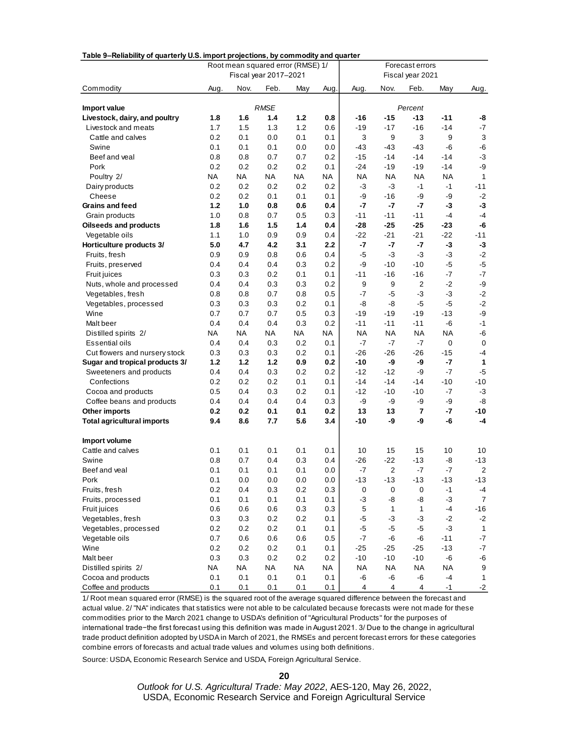| rable behability of quarterly 0.3. import projections, by commodity and quarter |            | Root mean squared error (RMSE) 1/<br>Fiscal year 2017-2021 | Forecast errors<br>Fiscal year 2021 |            |            |             |             |                |                      |                  |
|---------------------------------------------------------------------------------|------------|------------------------------------------------------------|-------------------------------------|------------|------------|-------------|-------------|----------------|----------------------|------------------|
| Commodity                                                                       | Aug.       | Nov.                                                       | Feb.                                | May        | Aug.       | Aug.        | Nov.        | Feb.           | May                  | Aug.             |
| Import value                                                                    |            |                                                            | <b>RMSE</b>                         |            |            |             |             | Percent        |                      |                  |
| Livestock, dairy, and poultry                                                   | 1.8        | 1.6                                                        | 1.4                                 | 1.2        | 0.8        | -16         | $-15$       | -13            | $-11$                | -8               |
| Livestock and meats                                                             | 1.7        | 1.5                                                        | 1.3                                 | 1.2        | 0.6        | $-19$       | $-17$       | $-16$          | $-14$                | $-7$             |
| Cattle and calves                                                               | 0.2        | 0.1                                                        | 0.0                                 | 0.1        | 0.1        | 3           | 9           | 3              | $\boldsymbol{9}$     | 3                |
| Swine                                                                           | 0.1        | 0.1                                                        | 0.1                                 | 0.0        | 0.0        | -43         | -43         | -43            | -6                   | -6               |
| Beef and veal                                                                   | 0.8        | 0.8                                                        | 0.7                                 | 0.7        | 0.2        | $-15$       | $-14$       | $-14$          | $-14$                | $-3$             |
| Pork                                                                            | 0.2        | 0.2                                                        | 0.2                                 | 0.2        | 0.1        | -24         | $-19$       | -19            | $-14$                | $-9$             |
| Poultry 2/                                                                      | ΝA         | ΝA                                                         | NA                                  | NA         | ΝA         | <b>NA</b>   | NA          | NA             | NA                   | 1                |
| Dairy products                                                                  | 0.2        | 0.2                                                        | 0.2                                 | 0.2        | 0.2        | $-3$        | $-3$        | $-1$           | $-1$                 | $-11$            |
| Cheese                                                                          | 0.2        | 0.2                                                        | 0.1                                 | 0.1        | 0.1        | -9          | -16         | -9             | -9                   | $-2$             |
| Grains and feed                                                                 | $1.2$      | 1.0                                                        | 0.8                                 | 0.6        | 0.4        | $-7$        | $-7$        | $-7$           | $-3$                 | $-3$             |
| Grain products                                                                  | 1.0        | 0.8                                                        | 0.7                                 | 0.5        | 0.3        | $-11$       | $-11$       | $-11$          | $-4$                 | -4               |
| <b>Oilseeds and products</b>                                                    | 1.8        | 1.6                                                        | 1.5                                 | 1.4        | 0.4        | $-28$       | $-25$       | $-25$          | $-23$                | -6               |
| Vegetable oils                                                                  | 1.1        | 1.0                                                        | 0.9                                 | 0.9        | 0.4        | -22         | $-21$       | $-21$          | $-22$                | $-11$            |
| Horticulture products 3/                                                        | 5.0        | 4.7                                                        | 4.2                                 | 3.1        | 2.2        | $-7$        | $-7$        | $-7$           | $-3$                 | $-3$             |
| Fruits, fresh                                                                   | 0.9        | 0.9                                                        | 0.8                                 | 0.6        | 0.4        | $-5$        | $-3$        | $-3$           | $-3$                 | $-2$             |
| Fruits, preserved                                                               | 0.4        | 0.4                                                        | 0.4                                 | 0.3        | 0.2        | -9          | $-10$       | $-10$          | $-5$                 | $-5$             |
| <b>Fruit juices</b>                                                             | 0.3        | 0.3                                                        | 0.2                                 | 0.1        | 0.1        | -11         | $-16$       | $-16$          | $-7$                 | $-7$             |
| Nuts, whole and processed                                                       | 0.4        | 0.4                                                        | 0.3                                 | 0.3        | 0.2        | 9           | 9           | $\overline{2}$ | $-2$                 | $-9$             |
| Vegetables, fresh                                                               | 0.8        | 0.8                                                        | 0.7                                 | 0.8        | 0.5        | $-7$        | $-5$        | $-3$           | $-3$                 | $-2$             |
| Vegetables, processed                                                           | 0.3        | 0.3                                                        | 0.3                                 | 0.2        | 0.1        | -8          | -8          | -5             | -5                   | $-2$             |
| Wine                                                                            | 0.7        | 0.7                                                        | 0.7                                 | 0.5        | 0.3        | -19         | $-19$       | -19            | $-13$                | $-9$             |
| Malt beer                                                                       | 0.4        | 0.4                                                        | 0.4                                 | 0.3        | 0.2        | $-11$       | $-11$       | $-11$          | $-6$                 | $-1$             |
| Distilled spirits 2/                                                            | ΝA         | ΝA                                                         | NA                                  | NA         | ΝA         | <b>NA</b>   | ΝA          | NA             | <b>NA</b>            | $-6$             |
| <b>Essential oils</b>                                                           | 0.4<br>0.3 | 0.4<br>0.3                                                 | 0.3<br>0.3                          | 0.2<br>0.2 | 0.1<br>0.1 | -7<br>$-26$ | -7<br>$-26$ | $-7$<br>$-26$  | $\mathbf 0$<br>$-15$ | 0<br>-4          |
| Cut flowers and nursery stock                                                   | $1.2$      | 1.2                                                        | $1.2$                               | 0.9        | 0.2        | $-10$       | -9          | -9             | $-7$                 | 1                |
| Sugar and tropical products 3/<br>Sweeteners and products                       | 0.4        | 0.4                                                        | 0.3                                 | 0.2        | 0.2        | $-12$       | $-12$       | -9             | $-7$                 | $-5$             |
| Confections                                                                     | 0.2        | 0.2                                                        | 0.2                                 | 0.1        | 0.1        | -14         | $-14$       | $-14$          | $-10$                | $-10$            |
| Cocoa and products                                                              | 0.5        | 0.4                                                        | 0.3                                 | 0.2        | 0.1        | $-12$       | $-10$       | $-10$          | -7                   | $-3$             |
| Coffee beans and products                                                       | 0.4        | 0.4                                                        | 0.4                                 | 0.4        | 0.3        | -9          | -9          | -9             | -9                   | -8               |
| Other imports                                                                   | 0.2        | 0.2                                                        | 0.1                                 | 0.1        | 0.2        | 13          | 13          | $\overline{7}$ | $-7$                 | $-10$            |
| <b>Total agricultural imports</b>                                               | 9.4        | 8.6                                                        | 7.7                                 | 5.6        | 3.4        | -10         | -9          | -9             | -6                   | $-4$             |
| Import volume                                                                   |            |                                                            |                                     |            |            |             |             |                |                      |                  |
| Cattle and calves                                                               | 0.1        | 0.1                                                        | 0.1                                 | 0.1        | 0.1        | 10          | 15          | 15             | 10                   | 10               |
| Swine                                                                           | 0.8        | 0.7                                                        | 0.4                                 | 0.3        | 0.4        | $-26$       | $-22$       | $-13$          | -8                   | $-13$            |
| Beef and veal                                                                   | 0.1        | 0.1                                                        | 0.1                                 | 0.1        | 0.0        | -7          | 2           | $-7$           | $-7$                 | 2                |
| Pork                                                                            | 0.1        | 0.0                                                        | 0.0                                 | 0.0        | 0.0        | $-13$       | $-13$       | $-13$          | $-13$                | $-13$            |
| Fruits, fresh                                                                   | 0.2        | 0.4                                                        | 0.3                                 | 0.2        | 0.3        | $\pmb{0}$   | $\pmb{0}$   | $\pmb{0}$      | $-1$                 | $-4$             |
| Fruits, processed                                                               | 0.1        | 0.1                                                        | 0.1                                 | 0.1        | 0.1        | $-3$        | -8          | -8             | $-3$                 | $\overline{7}$   |
| Fruit juices                                                                    | 0.6        | 0.6                                                        | 0.6                                 | 0.3        | 0.3        | $\mathbf 5$ | 1           | $\mathbf{1}$   | $-4$                 | $-16$            |
| Vegetables, fresh                                                               | 0.3        | 0.3                                                        | 0.2                                 | 0.2        | 0.1        | $-5$        | $-3$        | $-3$           | $-2$                 | $-2$             |
| Vegetables, processed                                                           | 0.2        | 0.2                                                        | 0.2                                 | 0.1        | 0.1        | $-5$        | $-5$        | $-5$           | $-3$                 | $\mathbf{1}$     |
| Vegetable oils                                                                  | 0.7        | 0.6                                                        | 0.6                                 | 0.6        | 0.5        | $-7$        | -6          | -6             | $-11$                | $\mathbf{-7}$    |
| Wine                                                                            | 0.2        | 0.2                                                        | 0.2                                 | 0.1        | 0.1        | $-25$       | $-25$       | $-25$          | $-13$                | $-7$             |
| Malt beer                                                                       | 0.3        | 0.3                                                        | 0.2                                 | 0.2        | 0.2        | $-10$       | $-10$       | $-10$          | -6                   | $\mbox{-}6$      |
| Distilled spirits 2/                                                            | <b>NA</b>  | <b>NA</b>                                                  | <b>NA</b>                           | <b>NA</b>  | <b>NA</b>  | <b>NA</b>   | <b>NA</b>   | <b>NA</b>      | <b>NA</b>            | $\boldsymbol{9}$ |

#### **Table 9–Reliability of quarterly U.S. import projections, by commodity and quarter**

1/ Root mean squared error (RMSE) is the squared root of the average squared difference between the forecast and actual value. 2/ "NA" indicates that statistics were not able to be calculated because forecasts were not made for these commodities prior to the March 2021 change to USDA's definition of "Agricultural Products" for the purposes of international trade−the first forecast using this definition was made in August 2021. 3/ Due to the change in agricultural trade product definition adopted by USDA in March of 2021, the RMSEs and percent forecast errors for these categories combine errors of forecasts and actual trade values and volumes using both definitions.

Cocoa and products 0.1 0.1 0.1 0.1 0.1 -6 -6 -6 -4 1 Coffee and products 0.1 0.1 0.1 0.1 0.1 4 4 4 -1 -2

Source: USDA, Economic Research Service and USDA, Foreign Agricultural Service.

**20**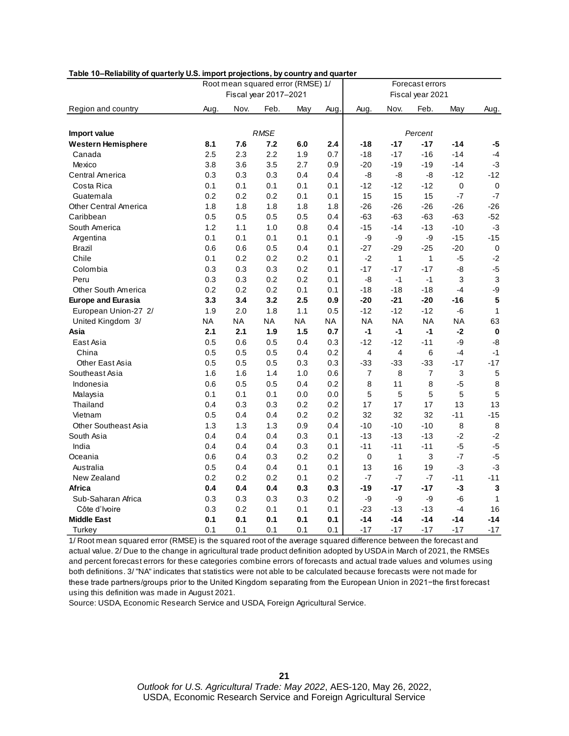| Table 10-Reliability of quarterly U.S. import projections, by country and quarter |  |  |  |  |
|-----------------------------------------------------------------------------------|--|--|--|--|
|                                                                                   |  |  |  |  |

| $\sim$<br>Root mean squared error (RMSE) 1/ |      |      |                       | Forecast errors |           |                |           |                  |                |                         |
|---------------------------------------------|------|------|-----------------------|-----------------|-----------|----------------|-----------|------------------|----------------|-------------------------|
|                                             |      |      | Fiscal year 2017-2021 |                 |           |                |           | Fiscal year 2021 |                |                         |
| Region and country                          | Aug. | Nov. | Feb.                  | May             | Aug.      | Aug.           | Nov.      | Feb.             | May            | Aug.                    |
|                                             |      |      |                       |                 |           |                |           |                  |                |                         |
| Import value                                |      |      | <b>RMSE</b>           |                 |           |                |           | Percent          |                |                         |
| <b>Western Hemisphere</b>                   | 8.1  | 7.6  | 7.2                   | 6.0             | 2.4       | $-18$          | $-17$     | $-17$            | $-14$          | -5                      |
| Canada                                      | 2.5  | 2.3  | 2.2                   | 1.9             | 0.7       | $-18$          | $-17$     | $-16$            | $-14$          | $-4$                    |
| Mexico                                      | 3.8  | 3.6  | 3.5                   | 2.7             | 0.9       | $-20$          | $-19$     | $-19$            | $-14$          | $-3$                    |
| Central America                             | 0.3  | 0.3  | 0.3                   | 0.4             | 0.4       | -8             | -8        | -8               | $-12$          | $-12$                   |
| Costa Rica                                  | 0.1  | 0.1  | 0.1                   | 0.1             | 0.1       | $-12$          | $-12$     | $-12$            | $\overline{0}$ | 0                       |
| Guatemala                                   | 0.2  | 0.2  | 0.2                   | 0.1             | 0.1       | 15             | 15        | 15               | $-7$           | $-7$                    |
| <b>Other Central America</b>                | 1.8  | 1.8  | 1.8                   | 1.8             | 1.8       | $-26$          | $-26$     | $-26$            | $-26$          | $-26$                   |
| Caribbean                                   | 0.5  | 0.5  | 0.5                   | 0.5             | 0.4       | $-63$          | $-63$     | $-63$            | $-63$          | $-52$                   |
| South America                               | 1.2  | 1.1  | 1.0                   | 0.8             | 0.4       | $-15$          | $-14$     | $-13$            | $-10$          | $-3$                    |
| Argentina                                   | 0.1  | 0.1  | 0.1                   | 0.1             | 0.1       | -9             | -9        | -9               | $-15$          | $-15$                   |
| Brazil                                      | 0.6  | 0.6  | 0.5                   | 0.4             | 0.1       | $-27$          | $-29$     | $-25$            | $-20$          | $\pmb{0}$               |
| Chile                                       | 0.1  | 0.2  | 0.2                   | 0.2             | 0.1       | $-2$           | 1         | 1                | $-5$           | $-2$                    |
| Colombia                                    | 0.3  | 0.3  | 0.3                   | 0.2             | 0.1       | $-17$          | $-17$     | $-17$            | -8             | $-5$                    |
| Peru                                        | 0.3  | 0.3  | 0.2                   | 0.2             | 0.1       | -8             | $-1$      | $-1$             | 3              | $\mathsf 3$             |
| <b>Other South America</b>                  | 0.2  | 0.2  | 0.2                   | 0.1             | 0.1       | $-18$          | $-18$     | $-18$            | $-4$           | -9                      |
| <b>Europe and Eurasia</b>                   | 3.3  | 3.4  | 3.2                   | 2.5             | 0.9       | $-20$          | $-21$     | $-20$            | $-16$          | $\overline{\mathbf{5}}$ |
| European Union-27 2/                        | 1.9  | 2.0  | 1.8                   | 1.1             | 0.5       | $-12$          | $-12$     | $-12$            | -6             | $\mathbf{1}$            |
| United Kingdom 3/                           | NA   | NA   | <b>NA</b>             | <b>NA</b>       | <b>NA</b> | <b>NA</b>      | <b>NA</b> | <b>NA</b>        | <b>NA</b>      | 63                      |
| Asia                                        | 2.1  | 2.1  | 1.9                   | 1.5             | 0.7       | $-1$           | $-1$      | $-1$             | $-2$           | $\bf{0}$                |
| East Asia                                   | 0.5  | 0.6  | 0.5                   | 0.4             | 0.3       | $-12$          | $-12$     | $-11$            | -9             | $-8$                    |
| China                                       | 0.5  | 0.5  | 0.5                   | 0.4             | 0.2       | 4              | 4         | 6                | $-4$           | $-1$                    |
| Other East Asia                             | 0.5  | 0.5  | 0.5                   | 0.3             | 0.3       | $-33$          | $-33$     | $-33$            | $-17$          | $-17$                   |
| Southeast Asia                              | 1.6  | 1.6  | 1.4                   | 1.0             | 0.6       | $\overline{7}$ | 8         | 7                | 3              | $\mathbf 5$             |
| Indonesia                                   | 0.6  | 0.5  | 0.5                   | 0.4             | 0.2       | 8              | 11        | 8                | $-5$           | $\bf 8$                 |
| Malaysia                                    | 0.1  | 0.1  | 0.1                   | 0.0             | 0.0       | 5              | 5         | 5                | 5              | $\overline{5}$          |
| Thailand                                    | 0.4  | 0.3  | 0.3                   | 0.2             | 0.2       | 17             | 17        | 17               | 13             | 13                      |
| Vietnam                                     | 0.5  | 0.4  | 0.4                   | 0.2             | 0.2       | 32             | 32        | 32               | $-11$          | $-15$                   |
| <b>Other Southeast Asia</b>                 | 1.3  | 1.3  | 1.3                   | 0.9             | 0.4       | $-10$          | $-10$     | $-10$            | 8              | 8                       |
| South Asia                                  | 0.4  | 0.4  | 0.4                   | 0.3             | 0.1       | $-13$          | $-13$     | $-13$            | $-2$           | $-2$                    |
| India                                       | 0.4  | 0.4  | 0.4                   | 0.3             | 0.1       | $-11$          | $-11$     | $-11$            | $-5$           | $-5$                    |
| Oceania                                     | 0.6  | 0.4  | 0.3                   | 0.2             | 0.2       | 0              | 1         | 3                | $-7$           | $-5$                    |
| Australia                                   | 0.5  | 0.4  | 0.4                   | 0.1             | 0.1       | 13             | 16        | 19               | -3             | $-3$                    |
| New Zealand                                 | 0.2  | 0.2  | 0.2                   | 0.1             | 0.2       | $-7$           | $-7$      | $-7$             | $-11$          | $-11$                   |
| Africa                                      | 0.4  | 0.4  | 0.4                   | 0.3             | 0.3       | $-19$          | $-17$     | $-17$            | $-3$           | $\mathbf{3}$            |
| Sub-Saharan Africa                          | 0.3  | 0.3  | 0.3                   | 0.3             | 0.2       | -9             | -9        | -9               | $-6$           | $\mathbf{1}$            |
| Côte d'Ivoire                               | 0.3  | 0.2  | 0.1                   | 0.1             | 0.1       | $-23$          | $-13$     | $-13$            | $-4$           | 16                      |
| <b>Middle East</b>                          | 0.1  | 0.1  | 0.1                   | 0.1             | 0.1       | $-14$          | $-14$     | $-14$            | $-14$          | $-14$                   |
| Turkey                                      | 0.1  | 0.1  | 0.1                   | 0.1             | 0.1       | $-17$          | $-17$     | $-17$            | $-17$          | $-17$                   |

1/ Root mean squared error (RMSE) is the squared root of the average squared difference between the forecast and actual value. 2/ Due to the change in agricultural trade product definition adopted by USDA in March of 2021, the RMSEs and percent forecast errors for these categories combine errors of forecasts and actual trade values and volumes using both definitions. 3/ "NA" indicates that statistics were not able to be calculated because forecasts were not made for these trade partners/groups prior to the United Kingdom separating from the European Union in 2021−the first forecast using this definition was made in August 2021.

Source: USDA, Economic Research Service and USDA, Foreign Agricultural Service.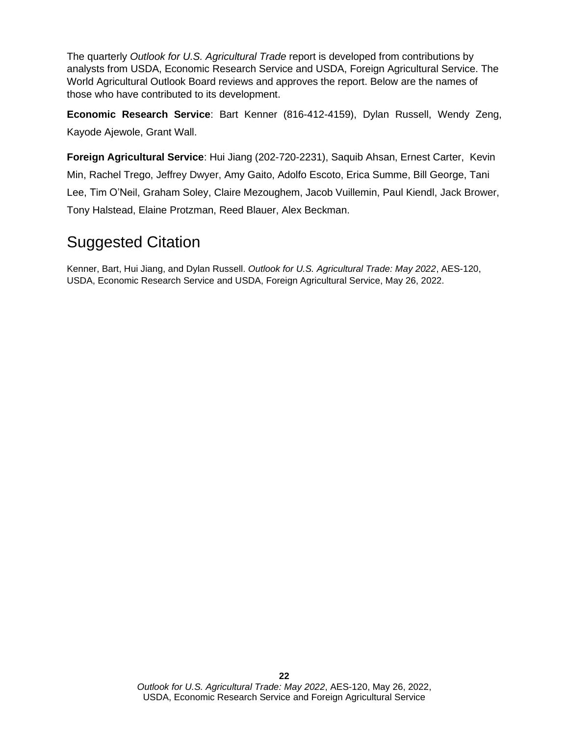The quarterly *Outlook for U.S. Agricultural Trade* report is developed from contributions by analysts from USDA, Economic Research Service and USDA, Foreign Agricultural Service. The World Agricultural Outlook Board reviews and approves the report. Below are the names of those who have contributed to its development.

**Economic Research Service**: Bart Kenner (816-412-4159), Dylan Russell, Wendy Zeng, Kayode Ajewole, Grant Wall.

**Foreign Agricultural Service**: Hui Jiang (202-720-2231), Saquib Ahsan, Ernest Carter, Kevin Min, Rachel Trego, Jeffrey Dwyer, Amy Gaito, Adolfo Escoto, Erica Summe, Bill George, Tani Lee, Tim O'Neil, Graham Soley, Claire Mezoughem, Jacob Vuillemin, Paul Kiendl, Jack Brower, Tony Halstead, Elaine Protzman, Reed Blauer, Alex Beckman.

## Suggested Citation

Kenner, Bart, Hui Jiang, and Dylan Russell. *Outlook for U.S. Agricultural Trade: May 2022*, AES-120, USDA, Economic Research Service and USDA, Foreign Agricultural Service, May 26, 2022.